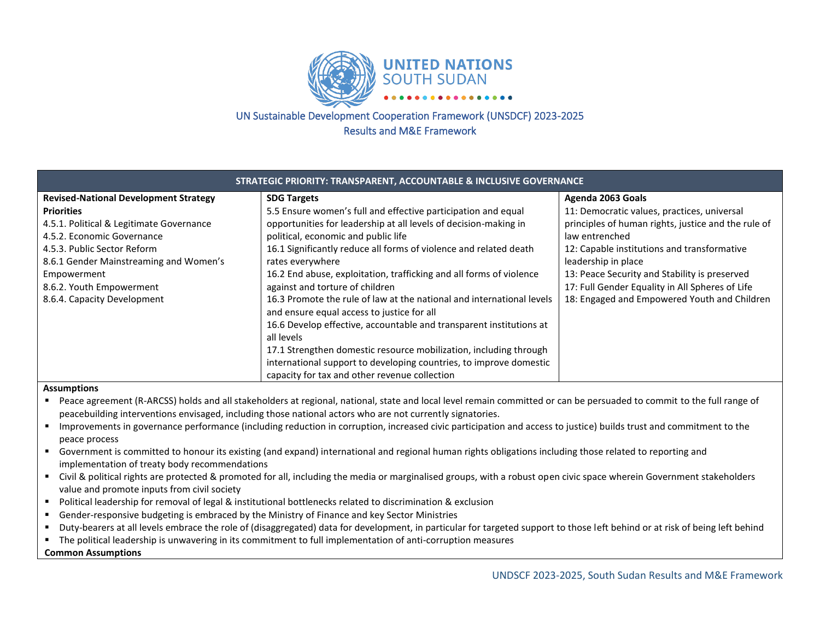

# UN Sustainable Development Cooperation Framework (UNSDCF) 2023-2025 Results and M&E Framework

| STRATEGIC PRIORITY: TRANSPARENT, ACCOUNTABLE & INCLUSIVE GOVERNANCE |                                                                       |                                                     |  |  |  |
|---------------------------------------------------------------------|-----------------------------------------------------------------------|-----------------------------------------------------|--|--|--|
| <b>Revised-National Development Strategy</b>                        | <b>SDG Targets</b>                                                    | Agenda 2063 Goals                                   |  |  |  |
| <b>Priorities</b>                                                   | 5.5 Ensure women's full and effective participation and equal         | 11: Democratic values, practices, universal         |  |  |  |
| 4.5.1. Political & Legitimate Governance                            | opportunities for leadership at all levels of decision-making in      | principles of human rights, justice and the rule of |  |  |  |
| 4.5.2. Economic Governance                                          | political, economic and public life                                   | law entrenched                                      |  |  |  |
| 4.5.3. Public Sector Reform                                         | 16.1 Significantly reduce all forms of violence and related death     | 12: Capable institutions and transformative         |  |  |  |
| 8.6.1 Gender Mainstreaming and Women's                              | rates everywhere                                                      | leadership in place                                 |  |  |  |
| Empowerment                                                         | 16.2 End abuse, exploitation, trafficking and all forms of violence   | 13: Peace Security and Stability is preserved       |  |  |  |
| 8.6.2. Youth Empowerment                                            | against and torture of children                                       | 17: Full Gender Equality in All Spheres of Life     |  |  |  |
| 8.6.4. Capacity Development                                         | 16.3 Promote the rule of law at the national and international levels | 18: Engaged and Empowered Youth and Children        |  |  |  |
|                                                                     | and ensure equal access to justice for all                            |                                                     |  |  |  |
|                                                                     | 16.6 Develop effective, accountable and transparent institutions at   |                                                     |  |  |  |
|                                                                     | all levels                                                            |                                                     |  |  |  |
|                                                                     | 17.1 Strengthen domestic resource mobilization, including through     |                                                     |  |  |  |
|                                                                     | international support to developing countries, to improve domestic    |                                                     |  |  |  |
|                                                                     | capacity for tax and other revenue collection                         |                                                     |  |  |  |

## **Assumptions**

- Peace agreement (R-ARCSS) holds and all stakeholders at regional, national, state and local level remain committed or can be persuaded to commit to the full range of peacebuilding interventions envisaged, including those national actors who are not currently signatories.
- Improvements in governance performance (including reduction in corruption, increased civic participation and access to justice) builds trust and commitment to the peace process
- Government is committed to honour its existing (and expand) international and regional human rights obligations including those related to reporting and implementation of treaty body recommendations
- Civil & political rights are protected & promoted for all, including the media or marginalised groups, with a robust open civic space wherein Government stakeholders value and promote inputs from civil society
- Political leadership for removal of legal & institutional bottlenecks related to discrimination & exclusion
- Gender-responsive budgeting is embraced by the Ministry of Finance and key Sector Ministries
- Duty-bearers at all levels embrace the role of (disaggregated) data for development, in particular for targeted support to those left behind or at risk of being left behind
- The political leadership is unwavering in its commitment to full implementation of anti-corruption measures

#### **Common Assumptions**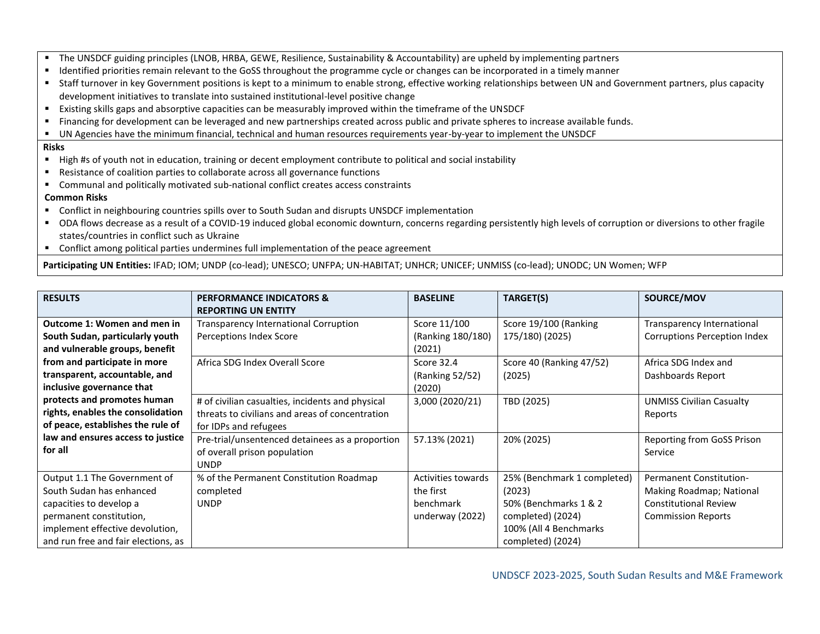- The UNSDCF guiding principles (LNOB, HRBA, GEWE, Resilience, Sustainability & Accountability) are upheld by implementing partners
- Identified priorities remain relevant to the GoSS throughout the programme cycle or changes can be incorporated in a timely manner
- Staff turnover in key Government positions is kept to a minimum to enable strong, effective working relationships between UN and Government partners, plus capacity development initiatives to translate into sustained institutional-level positive change
- Existing skills gaps and absorptive capacities can be measurably improved within the timeframe of the UNSDCF
- Financing for development can be leveraged and new partnerships created across public and private spheres to increase available funds.
- UN Agencies have the minimum financial, technical and human resources requirements year-by-year to implement the UNSDCF

## **Risks**

- High #s of youth not in education, training or decent employment contribute to political and social instability
- Resistance of coalition parties to collaborate across all governance functions
- Communal and politically motivated sub-national conflict creates access constraints

# **Common Risks**

- Conflict in neighbouring countries spills over to South Sudan and disrupts UNSDCF implementation
- ODA flows decrease as a result of a COVID-19 induced global economic downturn, concerns regarding persistently high levels of corruption or diversions to other fragile states/countries in conflict such as Ukraine
- Conflict among political parties undermines full implementation of the peace agreement

**Participating UN Entities:** IFAD; IOM; UNDP (co-lead); UNESCO; UNFPA; UN-HABITAT; UNHCR; UNICEF; UNMISS (co-lead); UNODC; UN Women; WFP

| <b>RESULTS</b>                      | <b>PERFORMANCE INDICATORS &amp;</b><br><b>REPORTING UN ENTITY</b> | <b>BASELINE</b>           | TARGET(S)                   | SOURCE/MOV                          |
|-------------------------------------|-------------------------------------------------------------------|---------------------------|-----------------------------|-------------------------------------|
|                                     |                                                                   |                           |                             |                                     |
| <b>Outcome 1: Women and men in</b>  | <b>Transparency International Corruption</b>                      | Score 11/100              | Score 19/100 (Ranking       | Transparency International          |
| South Sudan, particularly youth     | Perceptions Index Score                                           | (Ranking 180/180)         | 175/180) (2025)             | <b>Corruptions Perception Index</b> |
| and vulnerable groups, benefit      |                                                                   | (2021)                    |                             |                                     |
| from and participate in more        | Africa SDG Index Overall Score                                    | Score 32.4                | Score 40 (Ranking 47/52)    | Africa SDG Index and                |
| transparent, accountable, and       |                                                                   | (Ranking 52/52)           | (2025)                      | Dashboards Report                   |
| inclusive governance that           |                                                                   | (2020)                    |                             |                                     |
| protects and promotes human         | # of civilian casualties, incidents and physical                  | 3,000 (2020/21)           | TBD (2025)                  | <b>UNMISS Civilian Casualty</b>     |
| rights, enables the consolidation   | threats to civilians and areas of concentration                   |                           |                             | Reports                             |
| of peace, establishes the rule of   | for IDPs and refugees                                             |                           |                             |                                     |
| law and ensures access to justice   | Pre-trial/unsentenced detainees as a proportion                   | 57.13% (2021)             | 20% (2025)                  | Reporting from GoSS Prison          |
| for all                             | of overall prison population                                      |                           |                             | Service                             |
|                                     | <b>UNDP</b>                                                       |                           |                             |                                     |
| Output 1.1 The Government of        | % of the Permanent Constitution Roadmap                           | <b>Activities towards</b> | 25% (Benchmark 1 completed) | <b>Permanent Constitution-</b>      |
| South Sudan has enhanced            | completed                                                         | the first                 | (2023)                      | Making Roadmap; National            |
| capacities to develop a             | <b>UNDP</b>                                                       | benchmark                 | 50% (Benchmarks 1 & 2       | <b>Constitutional Review</b>        |
| permanent constitution,             |                                                                   | underway (2022)           | completed) (2024)           | <b>Commission Reports</b>           |
| implement effective devolution,     |                                                                   |                           | 100% (All 4 Benchmarks      |                                     |
| and run free and fair elections, as |                                                                   |                           | completed) (2024)           |                                     |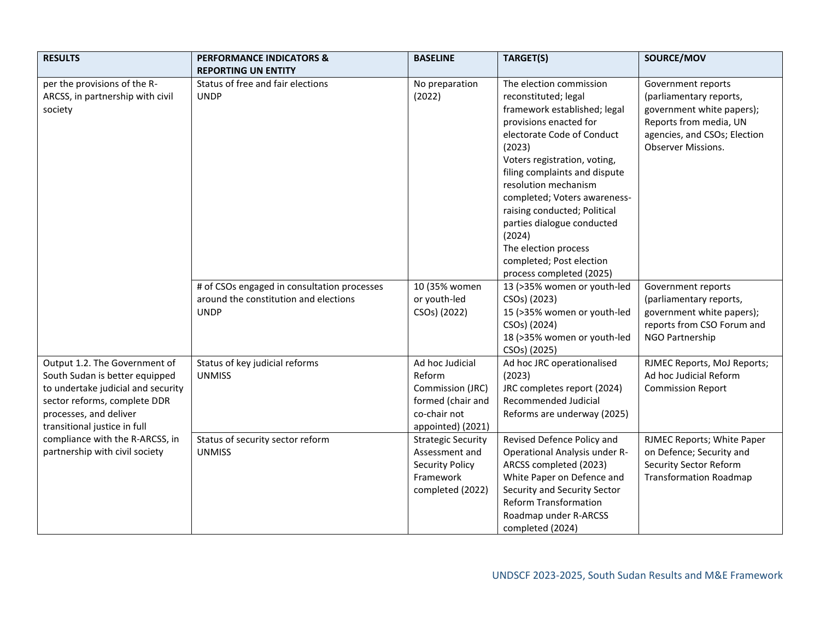| <b>RESULTS</b>                                                                                                                                                                                  | <b>PERFORMANCE INDICATORS &amp;</b><br><b>REPORTING UN ENTITY</b>                                   | <b>BASELINE</b>                                                                                         | TARGET(S)                                                                                                                                                                                                                                                                                                                                                                                                                          | SOURCE/MOV                                                                                                                                                        |
|-------------------------------------------------------------------------------------------------------------------------------------------------------------------------------------------------|-----------------------------------------------------------------------------------------------------|---------------------------------------------------------------------------------------------------------|------------------------------------------------------------------------------------------------------------------------------------------------------------------------------------------------------------------------------------------------------------------------------------------------------------------------------------------------------------------------------------------------------------------------------------|-------------------------------------------------------------------------------------------------------------------------------------------------------------------|
| per the provisions of the R-<br>ARCSS, in partnership with civil<br>society                                                                                                                     | Status of free and fair elections<br><b>UNDP</b>                                                    | No preparation<br>(2022)                                                                                | The election commission<br>reconstituted; legal<br>framework established; legal<br>provisions enacted for<br>electorate Code of Conduct<br>(2023)<br>Voters registration, voting,<br>filing complaints and dispute<br>resolution mechanism<br>completed; Voters awareness-<br>raising conducted; Political<br>parties dialogue conducted<br>(2024)<br>The election process<br>completed; Post election<br>process completed (2025) | Government reports<br>(parliamentary reports,<br>government white papers);<br>Reports from media, UN<br>agencies, and CSOs; Election<br><b>Observer Missions.</b> |
|                                                                                                                                                                                                 | # of CSOs engaged in consultation processes<br>around the constitution and elections<br><b>UNDP</b> | 10 (35% women<br>or youth-led<br>CSO <sub>s</sub> ) (2022)                                              | 13 (>35% women or youth-led<br>CSOs) (2023)<br>15 (>35% women or youth-led<br>CSOs) (2024)<br>18 (>35% women or youth-led<br>CSOs) (2025)                                                                                                                                                                                                                                                                                          | Government reports<br>(parliamentary reports,<br>government white papers);<br>reports from CSO Forum and<br>NGO Partnership                                       |
| Output 1.2. The Government of<br>South Sudan is better equipped<br>to undertake judicial and security<br>sector reforms, complete DDR<br>processes, and deliver<br>transitional justice in full | Status of key judicial reforms<br><b>UNMISS</b>                                                     | Ad hoc Judicial<br>Reform<br>Commission (JRC)<br>formed (chair and<br>co-chair not<br>appointed) (2021) | Ad hoc JRC operationalised<br>(2023)<br>JRC completes report (2024)<br>Recommended Judicial<br>Reforms are underway (2025)                                                                                                                                                                                                                                                                                                         | RJMEC Reports, MoJ Reports;<br>Ad hoc Judicial Reform<br><b>Commission Report</b>                                                                                 |
| compliance with the R-ARCSS, in<br>partnership with civil society                                                                                                                               | Status of security sector reform<br><b>UNMISS</b>                                                   | <b>Strategic Security</b><br>Assessment and<br><b>Security Policy</b><br>Framework<br>completed (2022)  | Revised Defence Policy and<br>Operational Analysis under R-<br>ARCSS completed (2023)<br>White Paper on Defence and<br>Security and Security Sector<br><b>Reform Transformation</b><br>Roadmap under R-ARCSS<br>completed (2024)                                                                                                                                                                                                   | RJMEC Reports; White Paper<br>on Defence; Security and<br><b>Security Sector Reform</b><br><b>Transformation Roadmap</b>                                          |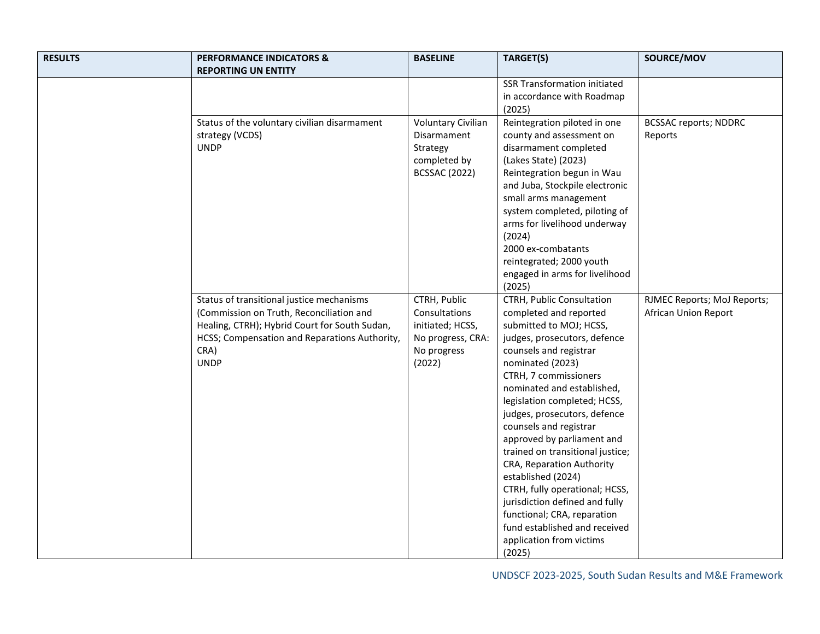| <b>RESULTS</b> | <b>PERFORMANCE INDICATORS &amp;</b><br><b>REPORTING UN ENTITY</b>                                                                                                                                              | <b>BASELINE</b>                                                                                 | TARGET(S)                                                                                                                                                                                                                                                                                                                                                                                                                                                                                                                                                                                                    | SOURCE/MOV                                          |
|----------------|----------------------------------------------------------------------------------------------------------------------------------------------------------------------------------------------------------------|-------------------------------------------------------------------------------------------------|--------------------------------------------------------------------------------------------------------------------------------------------------------------------------------------------------------------------------------------------------------------------------------------------------------------------------------------------------------------------------------------------------------------------------------------------------------------------------------------------------------------------------------------------------------------------------------------------------------------|-----------------------------------------------------|
|                |                                                                                                                                                                                                                |                                                                                                 | <b>SSR Transformation initiated</b><br>in accordance with Roadmap<br>(2025)                                                                                                                                                                                                                                                                                                                                                                                                                                                                                                                                  |                                                     |
|                | Status of the voluntary civilian disarmament<br>strategy (VCDS)<br><b>UNDP</b>                                                                                                                                 | <b>Voluntary Civilian</b><br>Disarmament<br>Strategy<br>completed by<br><b>BCSSAC (2022)</b>    | Reintegration piloted in one<br>county and assessment on<br>disarmament completed<br>(Lakes State) (2023)<br>Reintegration begun in Wau<br>and Juba, Stockpile electronic<br>small arms management<br>system completed, piloting of<br>arms for livelihood underway<br>(2024)<br>2000 ex-combatants<br>reintegrated; 2000 youth<br>engaged in arms for livelihood<br>(2025)                                                                                                                                                                                                                                  | <b>BCSSAC reports; NDDRC</b><br>Reports             |
|                | Status of transitional justice mechanisms<br>(Commission on Truth, Reconciliation and<br>Healing, CTRH); Hybrid Court for South Sudan,<br>HCSS; Compensation and Reparations Authority,<br>CRA)<br><b>UNDP</b> | CTRH, Public<br>Consultations<br>initiated; HCSS,<br>No progress, CRA:<br>No progress<br>(2022) | CTRH, Public Consultation<br>completed and reported<br>submitted to MOJ; HCSS,<br>judges, prosecutors, defence<br>counsels and registrar<br>nominated (2023)<br>CTRH, 7 commissioners<br>nominated and established,<br>legislation completed; HCSS,<br>judges, prosecutors, defence<br>counsels and registrar<br>approved by parliament and<br>trained on transitional justice;<br>CRA, Reparation Authority<br>established (2024)<br>CTRH, fully operational; HCSS,<br>jurisdiction defined and fully<br>functional; CRA, reparation<br>fund established and received<br>application from victims<br>(2025) | RJMEC Reports; MoJ Reports;<br>African Union Report |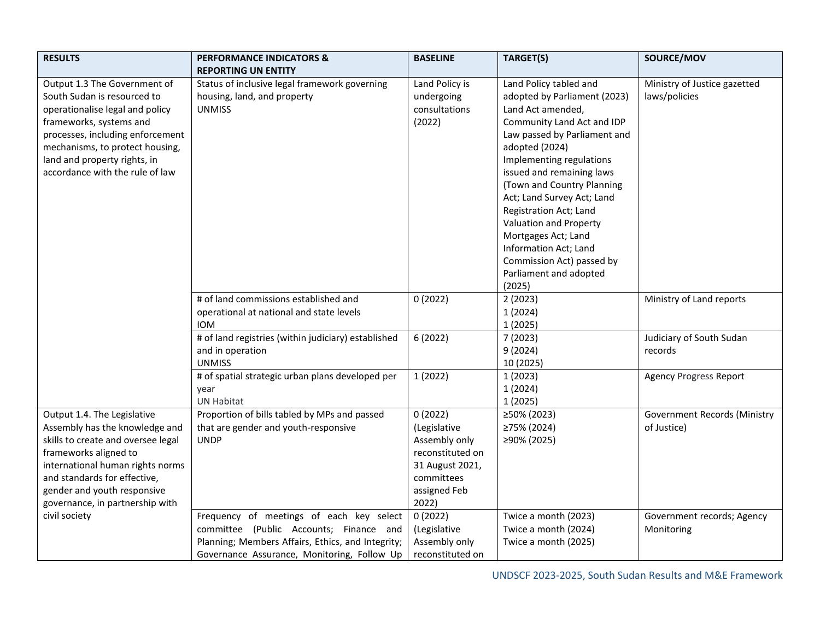| <b>RESULTS</b>                                                                                                                                                                                                                                                      | <b>PERFORMANCE INDICATORS &amp;</b><br><b>REPORTING UN ENTITY</b>                                                                                                                       | <b>BASELINE</b>                                                                                                        | TARGET(S)                                                                                                                                                                                                                                                                                                                                                                                                                                             | SOURCE/MOV                                         |
|---------------------------------------------------------------------------------------------------------------------------------------------------------------------------------------------------------------------------------------------------------------------|-----------------------------------------------------------------------------------------------------------------------------------------------------------------------------------------|------------------------------------------------------------------------------------------------------------------------|-------------------------------------------------------------------------------------------------------------------------------------------------------------------------------------------------------------------------------------------------------------------------------------------------------------------------------------------------------------------------------------------------------------------------------------------------------|----------------------------------------------------|
| Output 1.3 The Government of<br>South Sudan is resourced to<br>operationalise legal and policy<br>frameworks, systems and<br>processes, including enforcement<br>mechanisms, to protect housing,<br>land and property rights, in<br>accordance with the rule of law | Status of inclusive legal framework governing<br>housing, land, and property<br><b>UNMISS</b>                                                                                           | Land Policy is<br>undergoing<br>consultations<br>(2022)                                                                | Land Policy tabled and<br>adopted by Parliament (2023)<br>Land Act amended,<br>Community Land Act and IDP<br>Law passed by Parliament and<br>adopted (2024)<br>Implementing regulations<br>issued and remaining laws<br>(Town and Country Planning<br>Act; Land Survey Act; Land<br>Registration Act; Land<br>Valuation and Property<br>Mortgages Act; Land<br>Information Act; Land<br>Commission Act) passed by<br>Parliament and adopted<br>(2025) | Ministry of Justice gazetted<br>laws/policies      |
|                                                                                                                                                                                                                                                                     | # of land commissions established and<br>operational at national and state levels<br><b>IOM</b>                                                                                         | 0(2022)                                                                                                                | 2(2023)<br>1(2024)<br>1(2025)                                                                                                                                                                                                                                                                                                                                                                                                                         | Ministry of Land reports                           |
|                                                                                                                                                                                                                                                                     | # of land registries (within judiciary) established<br>and in operation<br><b>UNMISS</b>                                                                                                | 6(2022)                                                                                                                | 7(2023)<br>9(2024)<br>10 (2025)                                                                                                                                                                                                                                                                                                                                                                                                                       | Judiciary of South Sudan<br>records                |
|                                                                                                                                                                                                                                                                     | # of spatial strategic urban plans developed per<br>year<br><b>UN Habitat</b>                                                                                                           | 1(2022)                                                                                                                | 1(2023)<br>1(2024)<br>1(2025)                                                                                                                                                                                                                                                                                                                                                                                                                         | <b>Agency Progress Report</b>                      |
| Output 1.4. The Legislative<br>Assembly has the knowledge and<br>skills to create and oversee legal<br>frameworks aligned to<br>international human rights norms<br>and standards for effective,<br>gender and youth responsive<br>governance, in partnership with  | Proportion of bills tabled by MPs and passed<br>that are gender and youth-responsive<br><b>UNDP</b>                                                                                     | 0(2022)<br>(Legislative<br>Assembly only<br>reconstituted on<br>31 August 2021,<br>committees<br>assigned Feb<br>2022) | ≥50% (2023)<br>≥75% (2024)<br>≥90% (2025)                                                                                                                                                                                                                                                                                                                                                                                                             | <b>Government Records (Ministry</b><br>of Justice) |
| civil society                                                                                                                                                                                                                                                       | Frequency of meetings of each key select<br>committee (Public Accounts; Finance and<br>Planning; Members Affairs, Ethics, and Integrity;<br>Governance Assurance, Monitoring, Follow Up | 0(2022)<br>(Legislative<br>Assembly only<br>reconstituted on                                                           | Twice a month (2023)<br>Twice a month (2024)<br>Twice a month (2025)                                                                                                                                                                                                                                                                                                                                                                                  | Government records; Agency<br>Monitoring           |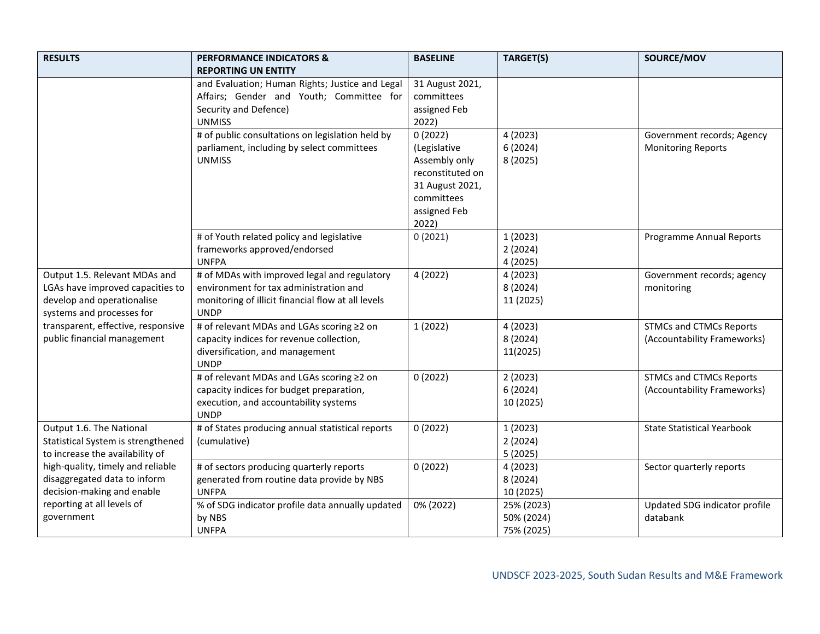| <b>RESULTS</b>                                          | <b>PERFORMANCE INDICATORS &amp;</b>                               | <b>BASELINE</b>  | TARGET(S)            | SOURCE/MOV                        |
|---------------------------------------------------------|-------------------------------------------------------------------|------------------|----------------------|-----------------------------------|
|                                                         | <b>REPORTING UN ENTITY</b>                                        |                  |                      |                                   |
|                                                         | and Evaluation; Human Rights; Justice and Legal                   | 31 August 2021,  |                      |                                   |
|                                                         | Affairs; Gender and Youth; Committee for                          | committees       |                      |                                   |
|                                                         | Security and Defence)                                             | assigned Feb     |                      |                                   |
|                                                         | <b>UNMISS</b>                                                     | 2022)            |                      |                                   |
|                                                         | # of public consultations on legislation held by                  | 0(2022)          | 4(2023)              | Government records; Agency        |
|                                                         | parliament, including by select committees                        | (Legislative     | 6(2024)              | <b>Monitoring Reports</b>         |
|                                                         | <b>UNMISS</b>                                                     | Assembly only    | 8 (2025)             |                                   |
|                                                         |                                                                   | reconstituted on |                      |                                   |
|                                                         |                                                                   | 31 August 2021,  |                      |                                   |
|                                                         |                                                                   | committees       |                      |                                   |
|                                                         |                                                                   | assigned Feb     |                      |                                   |
|                                                         |                                                                   | 2022)            |                      |                                   |
|                                                         | # of Youth related policy and legislative                         | 0(2021)          | 1(2023)              | <b>Programme Annual Reports</b>   |
|                                                         | frameworks approved/endorsed                                      |                  | 2(2024)              |                                   |
|                                                         | <b>UNFPA</b>                                                      |                  | 4 (2025)             |                                   |
| Output 1.5. Relevant MDAs and                           | # of MDAs with improved legal and regulatory                      | 4 (2022)         | 4 (2023)             | Government records; agency        |
| LGAs have improved capacities to                        | environment for tax administration and                            |                  | 8 (2024)             | monitoring                        |
| develop and operationalise<br>systems and processes for | monitoring of illicit financial flow at all levels<br><b>UNDP</b> |                  | 11 (2025)            |                                   |
| transparent, effective, responsive                      | # of relevant MDAs and LGAs scoring ≥2 on                         |                  |                      | <b>STMCs and CTMCs Reports</b>    |
| public financial management                             | capacity indices for revenue collection,                          | 1(2022)          | 4 (2023)<br>8 (2024) | (Accountability Frameworks)       |
|                                                         | diversification, and management                                   |                  |                      |                                   |
|                                                         | <b>UNDP</b>                                                       |                  | 11(2025)             |                                   |
|                                                         | # of relevant MDAs and LGAs scoring ≥2 on                         | 0(2022)          | 2(2023)              | <b>STMCs and CTMCs Reports</b>    |
|                                                         | capacity indices for budget preparation,                          |                  | 6(2024)              | (Accountability Frameworks)       |
|                                                         | execution, and accountability systems                             |                  | 10 (2025)            |                                   |
|                                                         | <b>UNDP</b>                                                       |                  |                      |                                   |
| Output 1.6. The National                                | # of States producing annual statistical reports                  | 0(2022)          | 1(2023)              | <b>State Statistical Yearbook</b> |
| Statistical System is strengthened                      | (cumulative)                                                      |                  | 2(2024)              |                                   |
| to increase the availability of                         |                                                                   |                  | 5(2025)              |                                   |
| high-quality, timely and reliable                       | # of sectors producing quarterly reports                          | 0(2022)          | 4 (2023)             | Sector quarterly reports          |
| disaggregated data to inform                            | generated from routine data provide by NBS                        |                  | 8 (2024)             |                                   |
| decision-making and enable                              | <b>UNFPA</b>                                                      |                  | 10 (2025)            |                                   |
| reporting at all levels of                              | % of SDG indicator profile data annually updated                  | 0% (2022)        | 25% (2023)           | Updated SDG indicator profile     |
| government                                              | by NBS                                                            |                  | 50% (2024)           | databank                          |
|                                                         | <b>UNFPA</b>                                                      |                  | 75% (2025)           |                                   |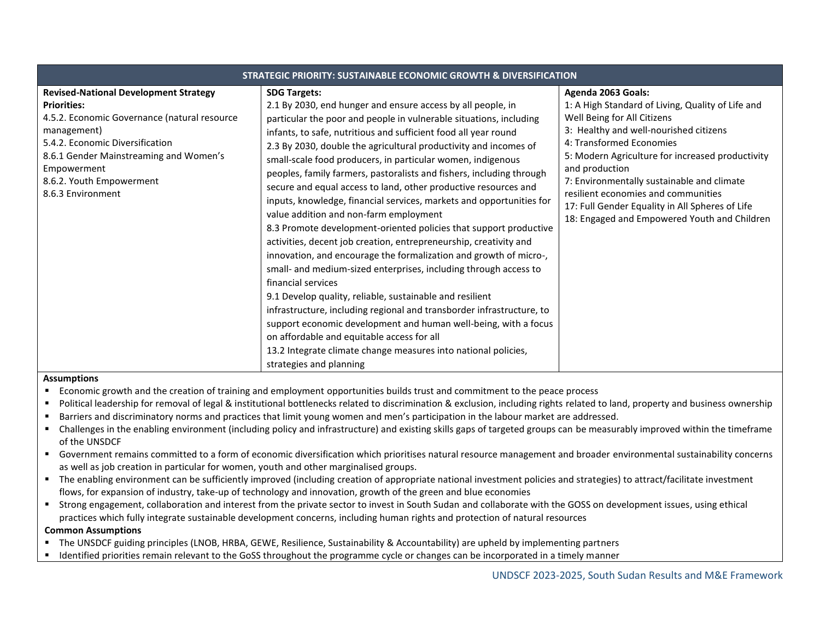| STRATEGIC PRIORITY: SUSTAINABLE ECONOMIC GROWTH & DIVERSIFICATION                                                                                                                                                                                                              |                                                                                                                                                                                                                                                                                                                                                                                                                                                                                                                                                                                                                                                                                                                                                                                                                                                                                                                                                                                                                                                                                                                                                                                                                                                                                         |                                                                                                                                                                                                                                                                                                                                                                                                                                            |  |  |  |
|--------------------------------------------------------------------------------------------------------------------------------------------------------------------------------------------------------------------------------------------------------------------------------|-----------------------------------------------------------------------------------------------------------------------------------------------------------------------------------------------------------------------------------------------------------------------------------------------------------------------------------------------------------------------------------------------------------------------------------------------------------------------------------------------------------------------------------------------------------------------------------------------------------------------------------------------------------------------------------------------------------------------------------------------------------------------------------------------------------------------------------------------------------------------------------------------------------------------------------------------------------------------------------------------------------------------------------------------------------------------------------------------------------------------------------------------------------------------------------------------------------------------------------------------------------------------------------------|--------------------------------------------------------------------------------------------------------------------------------------------------------------------------------------------------------------------------------------------------------------------------------------------------------------------------------------------------------------------------------------------------------------------------------------------|--|--|--|
| <b>Revised-National Development Strategy</b><br><b>Priorities:</b><br>4.5.2. Economic Governance (natural resource<br>management)<br>5.4.2. Economic Diversification<br>8.6.1 Gender Mainstreaming and Women's<br>Empowerment<br>8.6.2. Youth Empowerment<br>8.6.3 Environment | <b>SDG Targets:</b><br>2.1 By 2030, end hunger and ensure access by all people, in<br>particular the poor and people in vulnerable situations, including<br>infants, to safe, nutritious and sufficient food all year round<br>2.3 By 2030, double the agricultural productivity and incomes of<br>small-scale food producers, in particular women, indigenous<br>peoples, family farmers, pastoralists and fishers, including through<br>secure and equal access to land, other productive resources and<br>inputs, knowledge, financial services, markets and opportunities for<br>value addition and non-farm employment<br>8.3 Promote development-oriented policies that support productive<br>activities, decent job creation, entrepreneurship, creativity and<br>innovation, and encourage the formalization and growth of micro-,<br>small- and medium-sized enterprises, including through access to<br>financial services<br>9.1 Develop quality, reliable, sustainable and resilient<br>infrastructure, including regional and transborder infrastructure, to<br>support economic development and human well-being, with a focus<br>on affordable and equitable access for all<br>13.2 Integrate climate change measures into national policies,<br>strategies and planning | Agenda 2063 Goals:<br>1: A High Standard of Living, Quality of Life and<br>Well Being for All Citizens<br>3: Healthy and well-nourished citizens<br>4: Transformed Economies<br>5: Modern Agriculture for increased productivity<br>and production<br>7: Environmentally sustainable and climate<br>resilient economies and communities<br>17: Full Gender Equality in All Spheres of Life<br>18: Engaged and Empowered Youth and Children |  |  |  |

#### **Assumptions**

- Economic growth and the creation of training and employment opportunities builds trust and commitment to the peace process
- Political leadership for removal of legal & institutional bottlenecks related to discrimination & exclusion, including rights related to land, property and business ownership
- Barriers and discriminatory norms and practices that limit young women and men's participation in the labour market are addressed.
- Challenges in the enabling environment (including policy and infrastructure) and existing skills gaps of targeted groups can be measurably improved within the timeframe of the UNSDCF
- Government remains committed to a form of economic diversification which prioritises natural resource management and broader environmental sustainability concerns as well as job creation in particular for women, youth and other marginalised groups.
- The enabling environment can be sufficiently improved (including creation of appropriate national investment policies and strategies) to attract/facilitate investment flows, for expansion of industry, take-up of technology and innovation, growth of the green and blue economies
- Strong engagement, collaboration and interest from the private sector to invest in South Sudan and collaborate with the GOSS on development issues, using ethical practices which fully integrate sustainable development concerns, including human rights and protection of natural resources

## **Common Assumptions**

- The UNSDCF guiding principles (LNOB, HRBA, GEWE, Resilience, Sustainability & Accountability) are upheld by implementing partners
- Identified priorities remain relevant to the GoSS throughout the programme cycle or changes can be incorporated in a timely manner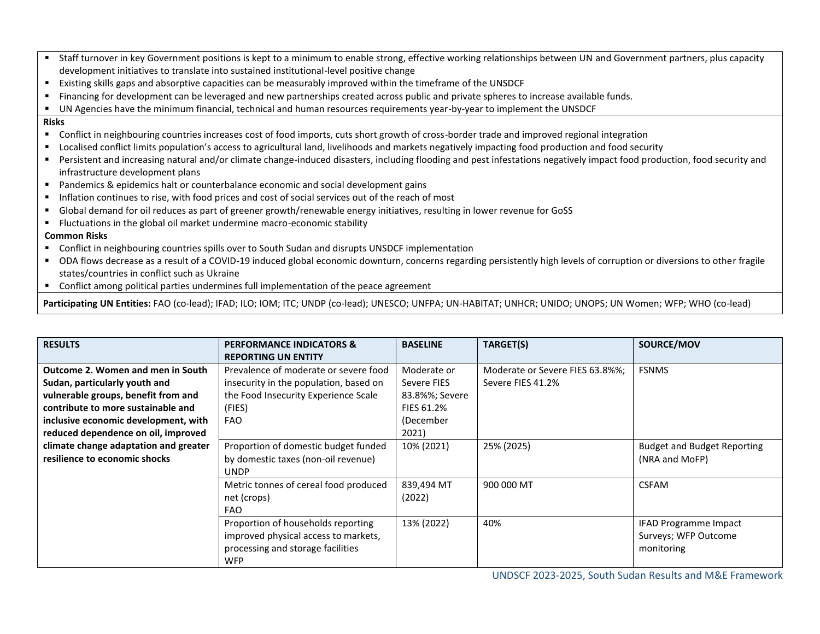- Staff turnover in key Government positions is kept to a minimum to enable strong, effective working relationships between UN and Government partners, plus capacity development initiatives to translate into sustained institutional-level positive change
- Existing skills gaps and absorptive capacities can be measurably improved within the timeframe of the UNSDCF
- Financing for development can be leveraged and new partnerships created across public and private spheres to increase available funds.
- UN Agencies have the minimum financial, technical and human resources requirements year-by-year to implement the UNSDCF

#### **Risks**

- Conflict in neighbouring countries increases cost of food imports, cuts short growth of cross-border trade and improved regional integration
- Localised conflict limits population's access to agricultural land, livelihoods and markets negatively impacting food production and food security
- Persistent and increasing natural and/or climate change-induced disasters, including flooding and pest infestations negatively impact food production, food security and infrastructure development plans
- Pandemics & epidemics halt or counterbalance economic and social development gains
- **.** Inflation continues to rise, with food prices and cost of social services out of the reach of most
- Global demand for oil reduces as part of greener growth/renewable energy initiatives, resulting in lower revenue for GoSS
- Fluctuations in the global oil market undermine macro-economic stability

# **Common Risks**

- Conflict in neighbouring countries spills over to South Sudan and disrupts UNSDCF implementation
- ODA flows decrease as a result of a COVID-19 induced global economic downturn, concerns regarding persistently high levels of corruption or diversions to other fragile states/countries in conflict such as Ukraine
- Conflict among political parties undermines full implementation of the peace agreement

**Participating UN Entities:** FAO (co-lead); IFAD; ILO; IOM; ITC; UNDP (co-lead); UNESCO; UNFPA; UN-HABITAT; UNHCR; UNIDO; UNOPS; UN Women; WFP; WHO (co-lead)

| <b>RESULTS</b>                                                                                                                                                                                                                 | <b>PERFORMANCE INDICATORS &amp;</b><br><b>REPORTING UN ENTITY</b>                                                                               | <b>BASELINE</b>                                                                  | TARGET(S)                                            | SOURCE/MOV                                                         |
|--------------------------------------------------------------------------------------------------------------------------------------------------------------------------------------------------------------------------------|-------------------------------------------------------------------------------------------------------------------------------------------------|----------------------------------------------------------------------------------|------------------------------------------------------|--------------------------------------------------------------------|
| Outcome 2. Women and men in South<br>Sudan, particularly youth and<br>vulnerable groups, benefit from and<br>contribute to more sustainable and<br>inclusive economic development, with<br>reduced dependence on oil, improved | Prevalence of moderate or severe food<br>insecurity in the population, based on<br>the Food Insecurity Experience Scale<br>(FIES)<br><b>FAO</b> | Moderate or<br>Severe FIES<br>83.8%%; Severe<br>FIES 61.2%<br>(December<br>2021) | Moderate or Severe FIES 63.8%%;<br>Severe FIES 41.2% | <b>FSNMS</b>                                                       |
| climate change adaptation and greater<br>resilience to economic shocks                                                                                                                                                         | Proportion of domestic budget funded<br>by domestic taxes (non-oil revenue)<br><b>UNDP</b>                                                      | 10% (2021)                                                                       | 25% (2025)                                           | <b>Budget and Budget Reporting</b><br>(NRA and MoFP)               |
|                                                                                                                                                                                                                                | Metric tonnes of cereal food produced<br>net (crops)<br><b>FAO</b>                                                                              | 839,494 MT<br>(2022)                                                             | 900 000 MT                                           | <b>CSFAM</b>                                                       |
|                                                                                                                                                                                                                                | Proportion of households reporting<br>improved physical access to markets,<br>processing and storage facilities<br><b>WFP</b>                   | 13% (2022)                                                                       | 40%                                                  | <b>IFAD Programme Impact</b><br>Surveys; WFP Outcome<br>monitoring |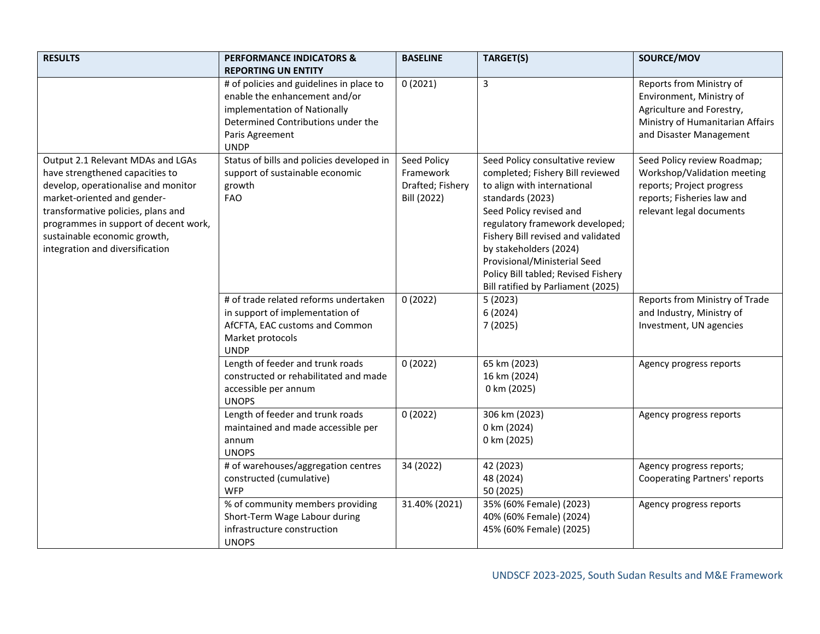| <b>RESULTS</b>                                                                                                                                                                                                                                                                               | <b>PERFORMANCE INDICATORS &amp;</b><br><b>REPORTING UN ENTITY</b>                                                                                                                 | <b>BASELINE</b>                                             | TARGET(S)                                                                                                                                                                                                                                                                                                                                                         | SOURCE/MOV                                                                                                                                        |
|----------------------------------------------------------------------------------------------------------------------------------------------------------------------------------------------------------------------------------------------------------------------------------------------|-----------------------------------------------------------------------------------------------------------------------------------------------------------------------------------|-------------------------------------------------------------|-------------------------------------------------------------------------------------------------------------------------------------------------------------------------------------------------------------------------------------------------------------------------------------------------------------------------------------------------------------------|---------------------------------------------------------------------------------------------------------------------------------------------------|
|                                                                                                                                                                                                                                                                                              | # of policies and guidelines in place to<br>enable the enhancement and/or<br>implementation of Nationally<br>Determined Contributions under the<br>Paris Agreement<br><b>UNDP</b> | 0(2021)                                                     | 3                                                                                                                                                                                                                                                                                                                                                                 | Reports from Ministry of<br>Environment, Ministry of<br>Agriculture and Forestry,<br>Ministry of Humanitarian Affairs<br>and Disaster Management  |
| Output 2.1 Relevant MDAs and LGAs<br>have strengthened capacities to<br>develop, operationalise and monitor<br>market-oriented and gender-<br>transformative policies, plans and<br>programmes in support of decent work,<br>sustainable economic growth,<br>integration and diversification | Status of bills and policies developed in<br>support of sustainable economic<br>growth<br><b>FAO</b>                                                                              | Seed Policy<br>Framework<br>Drafted; Fishery<br>Bill (2022) | Seed Policy consultative review<br>completed; Fishery Bill reviewed<br>to align with international<br>standards (2023)<br>Seed Policy revised and<br>regulatory framework developed;<br>Fishery Bill revised and validated<br>by stakeholders (2024)<br>Provisional/Ministerial Seed<br>Policy Bill tabled; Revised Fishery<br>Bill ratified by Parliament (2025) | Seed Policy review Roadmap;<br>Workshop/Validation meeting<br>reports; Project progress<br>reports; Fisheries law and<br>relevant legal documents |
|                                                                                                                                                                                                                                                                                              | # of trade related reforms undertaken<br>in support of implementation of<br>AfCFTA, EAC customs and Common<br>Market protocols<br><b>UNDP</b>                                     | 0(2022)                                                     | 5(2023)<br>6(2024)<br>7(2025)                                                                                                                                                                                                                                                                                                                                     | Reports from Ministry of Trade<br>and Industry, Ministry of<br>Investment, UN agencies                                                            |
|                                                                                                                                                                                                                                                                                              | Length of feeder and trunk roads<br>constructed or rehabilitated and made<br>accessible per annum<br><b>UNOPS</b>                                                                 | 0(2022)                                                     | 65 km (2023)<br>16 km (2024)<br>0 km (2025)                                                                                                                                                                                                                                                                                                                       | Agency progress reports                                                                                                                           |
|                                                                                                                                                                                                                                                                                              | Length of feeder and trunk roads<br>maintained and made accessible per<br>annum<br><b>UNOPS</b>                                                                                   | 0(2022)                                                     | 306 km (2023)<br>0 km (2024)<br>0 km (2025)                                                                                                                                                                                                                                                                                                                       | Agency progress reports                                                                                                                           |
|                                                                                                                                                                                                                                                                                              | # of warehouses/aggregation centres<br>constructed (cumulative)<br><b>WFP</b>                                                                                                     | 34 (2022)                                                   | 42 (2023)<br>48 (2024)<br>50 (2025)                                                                                                                                                                                                                                                                                                                               | Agency progress reports;<br><b>Cooperating Partners' reports</b>                                                                                  |
|                                                                                                                                                                                                                                                                                              | % of community members providing<br>Short-Term Wage Labour during<br>infrastructure construction<br><b>UNOPS</b>                                                                  | 31.40% (2021)                                               | 35% (60% Female) (2023)<br>40% (60% Female) (2024)<br>45% (60% Female) (2025)                                                                                                                                                                                                                                                                                     | Agency progress reports                                                                                                                           |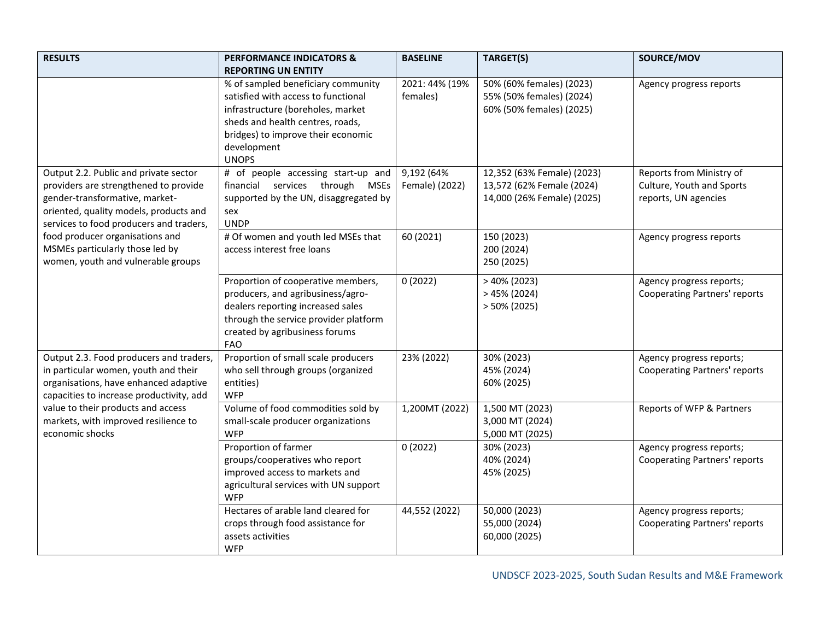| <b>RESULTS</b>                                                                                                                                                                                        | <b>PERFORMANCE INDICATORS &amp;</b><br><b>REPORTING UN ENTITY</b>                                                                                                                                                       | <b>BASELINE</b>              | TARGET(S)                                                                             | SOURCE/MOV                                                                    |
|-------------------------------------------------------------------------------------------------------------------------------------------------------------------------------------------------------|-------------------------------------------------------------------------------------------------------------------------------------------------------------------------------------------------------------------------|------------------------------|---------------------------------------------------------------------------------------|-------------------------------------------------------------------------------|
|                                                                                                                                                                                                       | % of sampled beneficiary community<br>satisfied with access to functional<br>infrastructure (boreholes, market<br>sheds and health centres, roads,<br>bridges) to improve their economic<br>development<br><b>UNOPS</b> | 2021: 44% (19%<br>females)   | 50% (60% females) (2023)<br>55% (50% females) (2024)<br>60% (50% females) (2025)      | Agency progress reports                                                       |
| Output 2.2. Public and private sector<br>providers are strengthened to provide<br>gender-transformative, market-<br>oriented, quality models, products and<br>services to food producers and traders, | # of people accessing start-up and<br>financial services through MSEs<br>supported by the UN, disaggregated by<br>sex<br><b>UNDP</b>                                                                                    | 9,192 (64%<br>Female) (2022) | 12,352 (63% Female) (2023)<br>13,572 (62% Female (2024)<br>14,000 (26% Female) (2025) | Reports from Ministry of<br>Culture, Youth and Sports<br>reports, UN agencies |
| food producer organisations and<br>MSMEs particularly those led by<br>women, youth and vulnerable groups                                                                                              | # Of women and youth led MSEs that<br>access interest free loans                                                                                                                                                        | 60 (2021)                    | 150 (2023)<br>200 (2024)<br>250 (2025)                                                | Agency progress reports                                                       |
|                                                                                                                                                                                                       | Proportion of cooperative members,<br>producers, and agribusiness/agro-<br>dealers reporting increased sales<br>through the service provider platform<br>created by agribusiness forums<br><b>FAO</b>                   | 0(2022)                      | $>40\%$ (2023)<br>$>45\%$ (2024)<br>$>50\%$ (2025)                                    | Agency progress reports;<br><b>Cooperating Partners' reports</b>              |
| Output 2.3. Food producers and traders,<br>in particular women, youth and their<br>organisations, have enhanced adaptive<br>capacities to increase productivity, add                                  | Proportion of small scale producers<br>who sell through groups (organized<br>entities)<br><b>WFP</b>                                                                                                                    | 23% (2022)                   | 30% (2023)<br>45% (2024)<br>60% (2025)                                                | Agency progress reports;<br><b>Cooperating Partners' reports</b>              |
| value to their products and access<br>markets, with improved resilience to<br>economic shocks                                                                                                         | Volume of food commodities sold by<br>small-scale producer organizations<br><b>WFP</b>                                                                                                                                  | 1,200MT (2022)               | 1,500 MT (2023)<br>3,000 MT (2024)<br>5,000 MT (2025)                                 | Reports of WFP & Partners                                                     |
|                                                                                                                                                                                                       | Proportion of farmer<br>groups/cooperatives who report<br>improved access to markets and<br>agricultural services with UN support<br><b>WFP</b>                                                                         | 0(2022)                      | 30% (2023)<br>40% (2024)<br>45% (2025)                                                | Agency progress reports;<br><b>Cooperating Partners' reports</b>              |
|                                                                                                                                                                                                       | Hectares of arable land cleared for<br>crops through food assistance for<br>assets activities<br><b>WFP</b>                                                                                                             | 44,552 (2022)                | 50,000 (2023)<br>55,000 (2024)<br>60,000 (2025)                                       | Agency progress reports;<br><b>Cooperating Partners' reports</b>              |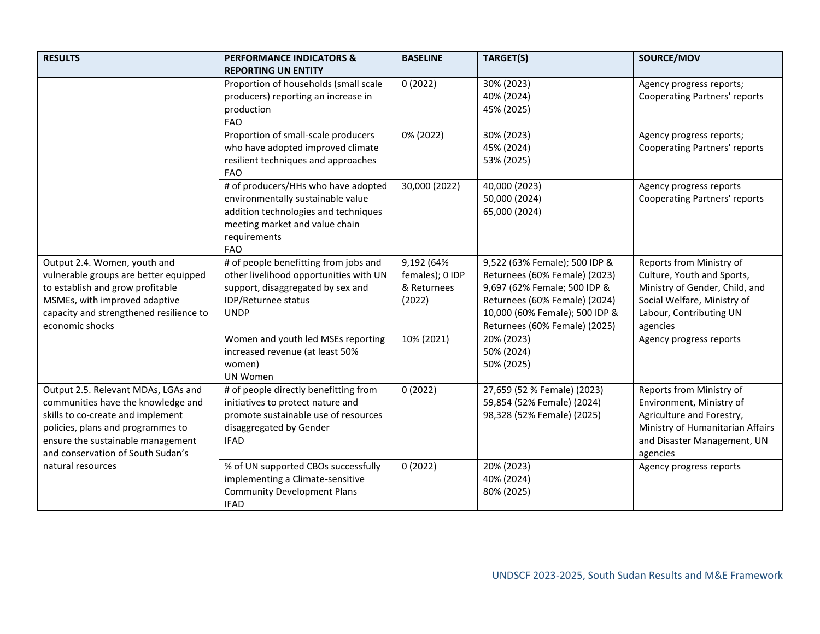| <b>RESULTS</b>                                                         | <b>PERFORMANCE INDICATORS &amp;</b>                                       | <b>BASELINE</b> | TARGET(S)                      | SOURCE/MOV                              |
|------------------------------------------------------------------------|---------------------------------------------------------------------------|-----------------|--------------------------------|-----------------------------------------|
|                                                                        | <b>REPORTING UN ENTITY</b>                                                |                 |                                |                                         |
|                                                                        | Proportion of households (small scale                                     | 0(2022)         | 30% (2023)                     | Agency progress reports;                |
|                                                                        | producers) reporting an increase in                                       |                 | 40% (2024)                     | <b>Cooperating Partners' reports</b>    |
|                                                                        | production                                                                |                 | 45% (2025)                     |                                         |
|                                                                        | <b>FAO</b>                                                                |                 |                                |                                         |
|                                                                        | Proportion of small-scale producers                                       | 0% (2022)       | 30% (2023)                     | Agency progress reports;                |
|                                                                        | who have adopted improved climate                                         |                 | 45% (2024)                     | <b>Cooperating Partners' reports</b>    |
|                                                                        | resilient techniques and approaches                                       |                 | 53% (2025)                     |                                         |
|                                                                        | <b>FAO</b>                                                                |                 |                                |                                         |
|                                                                        | # of producers/HHs who have adopted                                       | 30,000 (2022)   | 40,000 (2023)                  | Agency progress reports                 |
|                                                                        | environmentally sustainable value<br>addition technologies and techniques |                 | 50,000 (2024)<br>65,000 (2024) | <b>Cooperating Partners' reports</b>    |
|                                                                        | meeting market and value chain                                            |                 |                                |                                         |
|                                                                        | requirements                                                              |                 |                                |                                         |
|                                                                        | <b>FAO</b>                                                                |                 |                                |                                         |
| Output 2.4. Women, youth and                                           | # of people benefitting from jobs and                                     | 9,192 (64%      | 9,522 (63% Female); 500 IDP &  | Reports from Ministry of                |
| vulnerable groups are better equipped                                  | other livelihood opportunities with UN                                    | females); 0 IDP | Returnees (60% Female) (2023)  | Culture, Youth and Sports,              |
| to establish and grow profitable                                       | support, disaggregated by sex and                                         | & Returnees     | 9,697 (62% Female; 500 IDP &   | Ministry of Gender, Child, and          |
| MSMEs, with improved adaptive                                          | IDP/Returnee status                                                       | (2022)          | Returnees (60% Female) (2024)  | Social Welfare, Ministry of             |
| capacity and strengthened resilience to                                | <b>UNDP</b>                                                               |                 | 10,000 (60% Female); 500 IDP & | Labour, Contributing UN                 |
| economic shocks                                                        |                                                                           |                 | Returnees (60% Female) (2025)  | agencies                                |
|                                                                        | Women and youth led MSEs reporting                                        | 10% (2021)      | 20% (2023)                     | Agency progress reports                 |
|                                                                        | increased revenue (at least 50%                                           |                 | 50% (2024)                     |                                         |
|                                                                        | women)                                                                    |                 | 50% (2025)                     |                                         |
|                                                                        | UN Women                                                                  |                 |                                |                                         |
| Output 2.5. Relevant MDAs, LGAs and                                    | # of people directly benefitting from                                     | 0(2022)         | 27,659 (52 % Female) (2023)    | Reports from Ministry of                |
| communities have the knowledge and                                     | initiatives to protect nature and                                         |                 | 59,854 (52% Female) (2024)     | Environment, Ministry of                |
| skills to co-create and implement                                      | promote sustainable use of resources                                      |                 | 98,328 (52% Female) (2025)     | Agriculture and Forestry,               |
| policies, plans and programmes to<br>ensure the sustainable management | disaggregated by Gender<br><b>IFAD</b>                                    |                 |                                | Ministry of Humanitarian Affairs        |
| and conservation of South Sudan's                                      |                                                                           |                 |                                | and Disaster Management, UN<br>agencies |
| natural resources                                                      | % of UN supported CBOs successfully                                       | 0(2022)         | 20% (2023)                     | Agency progress reports                 |
|                                                                        | implementing a Climate-sensitive                                          |                 | 40% (2024)                     |                                         |
|                                                                        | <b>Community Development Plans</b>                                        |                 | 80% (2025)                     |                                         |
|                                                                        | <b>IFAD</b>                                                               |                 |                                |                                         |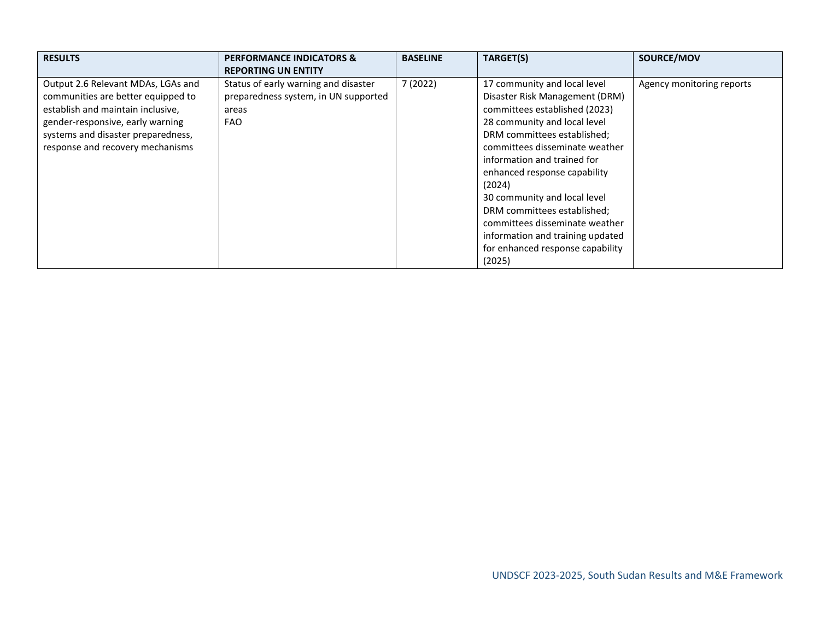| <b>RESULTS</b>                                                                                                                                                                                                              | <b>PERFORMANCE INDICATORS &amp;</b><br><b>REPORTING UN ENTITY</b>                                   | <b>BASELINE</b> | TARGET(S)                                                                                                                                                                                                                                                                                                                                                                                                                                                    | SOURCE/MOV                |
|-----------------------------------------------------------------------------------------------------------------------------------------------------------------------------------------------------------------------------|-----------------------------------------------------------------------------------------------------|-----------------|--------------------------------------------------------------------------------------------------------------------------------------------------------------------------------------------------------------------------------------------------------------------------------------------------------------------------------------------------------------------------------------------------------------------------------------------------------------|---------------------------|
| Output 2.6 Relevant MDAs, LGAs and<br>communities are better equipped to<br>establish and maintain inclusive,<br>gender-responsive, early warning<br>systems and disaster preparedness,<br>response and recovery mechanisms | Status of early warning and disaster<br>preparedness system, in UN supported<br>areas<br><b>FAO</b> | 7(2022)         | 17 community and local level<br>Disaster Risk Management (DRM)<br>committees established (2023)<br>28 community and local level<br>DRM committees established;<br>committees disseminate weather<br>information and trained for<br>enhanced response capability<br>(2024)<br>30 community and local level<br>DRM committees established;<br>committees disseminate weather<br>information and training updated<br>for enhanced response capability<br>(2025) | Agency monitoring reports |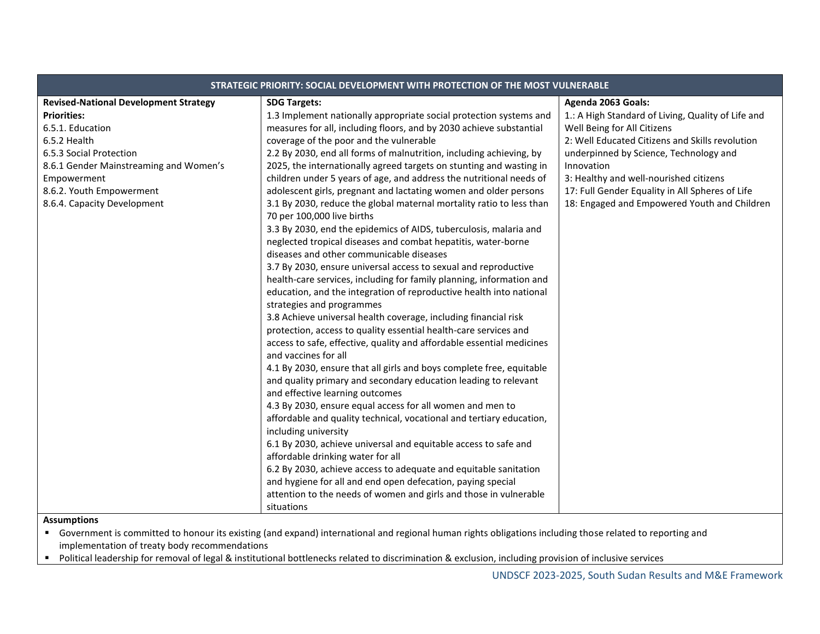| STRATEGIC PRIORITY: SOCIAL DEVELOPMENT WITH PROTECTION OF THE MOST VULNERABLE |                                                                                                                                                            |                                                    |  |  |  |  |
|-------------------------------------------------------------------------------|------------------------------------------------------------------------------------------------------------------------------------------------------------|----------------------------------------------------|--|--|--|--|
| <b>Revised-National Development Strategy</b>                                  | <b>SDG Targets:</b>                                                                                                                                        | Agenda 2063 Goals:                                 |  |  |  |  |
| <b>Priorities:</b>                                                            | 1.3 Implement nationally appropriate social protection systems and                                                                                         | 1.: A High Standard of Living, Quality of Life and |  |  |  |  |
| 6.5.1. Education                                                              | measures for all, including floors, and by 2030 achieve substantial                                                                                        | Well Being for All Citizens                        |  |  |  |  |
| 6.5.2 Health                                                                  | coverage of the poor and the vulnerable                                                                                                                    | 2: Well Educated Citizens and Skills revolution    |  |  |  |  |
| 6.5.3 Social Protection                                                       | 2.2 By 2030, end all forms of malnutrition, including achieving, by                                                                                        | underpinned by Science, Technology and             |  |  |  |  |
| 8.6.1 Gender Mainstreaming and Women's                                        | 2025, the internationally agreed targets on stunting and wasting in                                                                                        | Innovation                                         |  |  |  |  |
| Empowerment                                                                   | children under 5 years of age, and address the nutritional needs of                                                                                        | 3: Healthy and well-nourished citizens             |  |  |  |  |
| 8.6.2. Youth Empowerment                                                      | adolescent girls, pregnant and lactating women and older persons                                                                                           | 17: Full Gender Equality in All Spheres of Life    |  |  |  |  |
| 8.6.4. Capacity Development                                                   | 3.1 By 2030, reduce the global maternal mortality ratio to less than<br>70 per 100,000 live births                                                         | 18: Engaged and Empowered Youth and Children       |  |  |  |  |
|                                                                               | 3.3 By 2030, end the epidemics of AIDS, tuberculosis, malaria and                                                                                          |                                                    |  |  |  |  |
|                                                                               | neglected tropical diseases and combat hepatitis, water-borne                                                                                              |                                                    |  |  |  |  |
|                                                                               | diseases and other communicable diseases                                                                                                                   |                                                    |  |  |  |  |
|                                                                               | 3.7 By 2030, ensure universal access to sexual and reproductive                                                                                            |                                                    |  |  |  |  |
|                                                                               | health-care services, including for family planning, information and                                                                                       |                                                    |  |  |  |  |
|                                                                               | education, and the integration of reproductive health into national                                                                                        |                                                    |  |  |  |  |
|                                                                               | strategies and programmes                                                                                                                                  |                                                    |  |  |  |  |
|                                                                               | 3.8 Achieve universal health coverage, including financial risk                                                                                            |                                                    |  |  |  |  |
|                                                                               | protection, access to quality essential health-care services and                                                                                           |                                                    |  |  |  |  |
|                                                                               | access to safe, effective, quality and affordable essential medicines<br>and vaccines for all                                                              |                                                    |  |  |  |  |
|                                                                               | 4.1 By 2030, ensure that all girls and boys complete free, equitable                                                                                       |                                                    |  |  |  |  |
|                                                                               | and quality primary and secondary education leading to relevant                                                                                            |                                                    |  |  |  |  |
|                                                                               | and effective learning outcomes                                                                                                                            |                                                    |  |  |  |  |
|                                                                               | 4.3 By 2030, ensure equal access for all women and men to                                                                                                  |                                                    |  |  |  |  |
|                                                                               | affordable and quality technical, vocational and tertiary education,                                                                                       |                                                    |  |  |  |  |
|                                                                               | including university                                                                                                                                       |                                                    |  |  |  |  |
|                                                                               | 6.1 By 2030, achieve universal and equitable access to safe and                                                                                            |                                                    |  |  |  |  |
|                                                                               | affordable drinking water for all                                                                                                                          |                                                    |  |  |  |  |
|                                                                               | 6.2 By 2030, achieve access to adequate and equitable sanitation                                                                                           |                                                    |  |  |  |  |
|                                                                               | and hygiene for all and end open defecation, paying special                                                                                                |                                                    |  |  |  |  |
|                                                                               | attention to the needs of women and girls and those in vulnerable                                                                                          |                                                    |  |  |  |  |
|                                                                               | situations                                                                                                                                                 |                                                    |  |  |  |  |
| <b>Assumptions</b>                                                            | " Government is committed to honour its existing (and expand) international and regional human rights obligations including those related to reporting and |                                                    |  |  |  |  |

implementation of treaty body recommendations

■ Political leadership for removal of legal & institutional bottlenecks related to discrimination & exclusion, including provision of inclusive services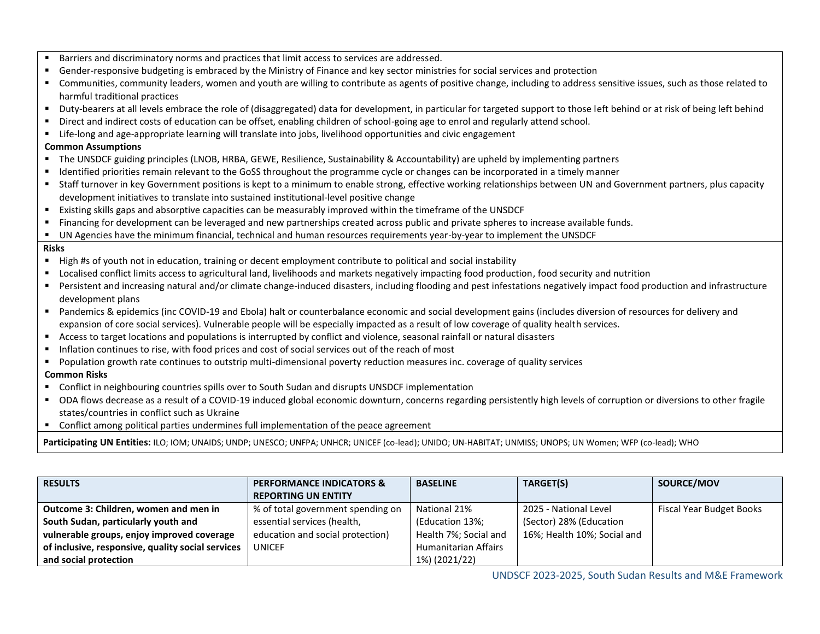| ٠              | Barriers and discriminatory norms and practices that limit access to services are addressed.                                                                                 |
|----------------|------------------------------------------------------------------------------------------------------------------------------------------------------------------------------|
| ٠              | Gender-responsive budgeting is embraced by the Ministry of Finance and key sector ministries for social services and protection                                              |
| ٠              | Communities, community leaders, women and youth are willing to contribute as agents of positive change, including to address sensitive issues, such as those related to      |
|                | harmful traditional practices                                                                                                                                                |
| $\blacksquare$ | Duty-bearers at all levels embrace the role of (disaggregated) data for development, in particular for targeted support to those left behind or at risk of being left behind |
| ٠              | Direct and indirect costs of education can be offset, enabling children of school-going age to enrol and regularly attend school.                                            |
|                | " Life-long and age-appropriate learning will translate into jobs, livelihood opportunities and civic engagement                                                             |
|                | <b>Common Assumptions</b>                                                                                                                                                    |
|                | " The UNSDCF guiding principles (LNOB, HRBA, GEWE, Resilience, Sustainability & Accountability) are upheld by implementing partners                                          |
|                | • Identified priorities remain relevant to the GoSS throughout the programme cycle or changes can be incorporated in a timely manner                                         |
|                | " Staff turnover in key Government positions is kept to a minimum to enable strong, effective working relationships between UN and Government partners, plus capacity        |
|                | development initiatives to translate into sustained institutional-level positive change                                                                                      |
|                | " Existing skills gaps and absorptive capacities can be measurably improved within the timeframe of the UNSDCF                                                               |
|                | • Financing for development can be leveraged and new partnerships created across public and private spheres to increase available funds.                                     |
| л.             | UN Agencies have the minimum financial, technical and human resources requirements year-by-year to implement the UNSDCF                                                      |
| <b>Risks</b>   |                                                                                                                                                                              |
|                | " High #s of youth not in education, training or decent employment contribute to political and social instability                                                            |
|                | Localised conflict limits access to agricultural land, livelihoods and markets negatively impacting food production, food security and nutrition                             |
|                | Persistent and increasing natural and/or climate change-induced disasters, including flooding and pest infestations negatively impact food production and infrastructure     |
|                | development plans                                                                                                                                                            |
|                | Pandemics & epidemics (inc COVID-19 and Ebola) halt or counterbalance economic and social development gains (includes diversion of resources for delivery and                |
|                | expansion of core social services). Vulnerable people will be especially impacted as a result of low coverage of quality health services.                                    |
|                | Access to target locations and populations is interrupted by conflict and violence, seasonal rainfall or natural disasters                                                   |
| $\blacksquare$ | Inflation continues to rise, with food prices and cost of social services out of the reach of most                                                                           |
|                | Population growth rate continues to outstrip multi-dimensional poverty reduction measures inc. coverage of quality services                                                  |
|                | <b>Common Risks</b>                                                                                                                                                          |
|                | Conflict in neighbouring countries spills over to South Sudan and disrupts UNSDCF implementation                                                                             |
|                | • ODA flows decrease as a result of a COVID-19 induced global economic downturn, concerns regarding persistently high levels of corruption or diversions to other fragile    |
|                | states/countries in conflict such as Ukraine                                                                                                                                 |
|                | • Conflict among political parties undermines full implementation of the peace agreement                                                                                     |
|                | Participating UN Entities: ILO; IOM; UNAIDS; UNDP; UNESCO; UNFPA; UNHCR; UNICEF (co-lead); UNIDO; UN-HABITAT; UNMISS; UNOPS; UN Women; WFP (co-lead); WHO                    |

| <b>RESULTS</b>                                    | <b>PERFORMANCE INDICATORS &amp;</b> | <b>BASELINE</b>             | TARGET(S)                   | SOURCE/MOV               |
|---------------------------------------------------|-------------------------------------|-----------------------------|-----------------------------|--------------------------|
|                                                   | <b>REPORTING UN ENTITY</b>          |                             |                             |                          |
| Outcome 3: Children, women and men in             | % of total government spending on   | National 21%                | 2025 - National Level       | Fiscal Year Budget Books |
| South Sudan, particularly youth and               | essential services (health,         | (Education 13%;             | (Sector) 28% (Education     |                          |
| vulnerable groups, enjoy improved coverage        | education and social protection)    | Health 7%; Social and       | 16%; Health 10%; Social and |                          |
| of inclusive, responsive, quality social services | <b>UNICEF</b>                       | <b>Humanitarian Affairs</b> |                             |                          |
| and social protection                             |                                     | 1%) (2021/22)               |                             |                          |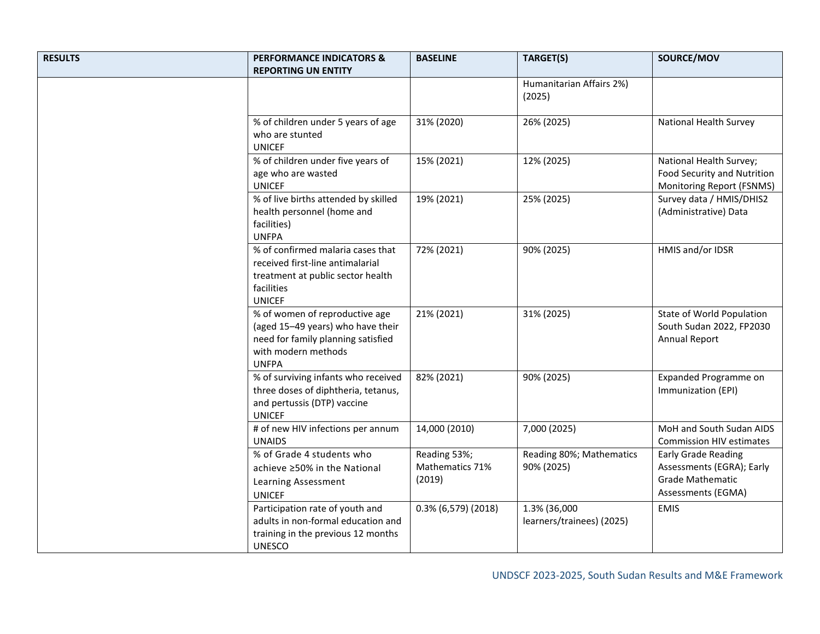| <b>RESULTS</b> | <b>PERFORMANCE INDICATORS &amp;</b><br><b>REPORTING UN ENTITY</b>                                                                                | <b>BASELINE</b>                           | TARGET(S)                                 | SOURCE/MOV                                                                                               |
|----------------|--------------------------------------------------------------------------------------------------------------------------------------------------|-------------------------------------------|-------------------------------------------|----------------------------------------------------------------------------------------------------------|
|                |                                                                                                                                                  |                                           | Humanitarian Affairs 2%)<br>(2025)        |                                                                                                          |
|                | % of children under 5 years of age<br>who are stunted<br><b>UNICEF</b>                                                                           | 31% (2020)                                | 26% (2025)                                | National Health Survey                                                                                   |
|                | % of children under five years of<br>age who are wasted<br><b>UNICEF</b>                                                                         | 15% (2021)                                | 12% (2025)                                | National Health Survey;<br>Food Security and Nutrition<br>Monitoring Report (FSNMS)                      |
|                | % of live births attended by skilled<br>health personnel (home and<br>facilities)<br><b>UNFPA</b>                                                | 19% (2021)                                | 25% (2025)                                | Survey data / HMIS/DHIS2<br>(Administrative) Data                                                        |
|                | % of confirmed malaria cases that<br>received first-line antimalarial<br>treatment at public sector health<br>facilities<br><b>UNICEF</b>        | 72% (2021)                                | 90% (2025)                                | HMIS and/or IDSR                                                                                         |
|                | % of women of reproductive age<br>(aged 15-49 years) who have their<br>need for family planning satisfied<br>with modern methods<br><b>UNFPA</b> | 21% (2021)                                | 31% (2025)                                | State of World Population<br>South Sudan 2022, FP2030<br><b>Annual Report</b>                            |
|                | % of surviving infants who received<br>three doses of diphtheria, tetanus,<br>and pertussis (DTP) vaccine<br><b>UNICEF</b>                       | 82% (2021)                                | 90% (2025)                                | Expanded Programme on<br>Immunization (EPI)                                                              |
|                | # of new HIV infections per annum<br><b>UNAIDS</b>                                                                                               | 14,000 (2010)                             | 7,000 (2025)                              | MoH and South Sudan AIDS<br><b>Commission HIV estimates</b>                                              |
|                | % of Grade 4 students who<br>achieve ≥50% in the National<br>Learning Assessment<br><b>UNICEF</b>                                                | Reading 53%;<br>Mathematics 71%<br>(2019) | Reading 80%; Mathematics<br>90% (2025)    | <b>Early Grade Reading</b><br>Assessments (EGRA); Early<br><b>Grade Mathematic</b><br>Assessments (EGMA) |
|                | Participation rate of youth and<br>adults in non-formal education and<br>training in the previous 12 months<br><b>UNESCO</b>                     | $0.3\%$ (6,579) (2018)                    | 1.3% (36,000<br>learners/trainees) (2025) | <b>EMIS</b>                                                                                              |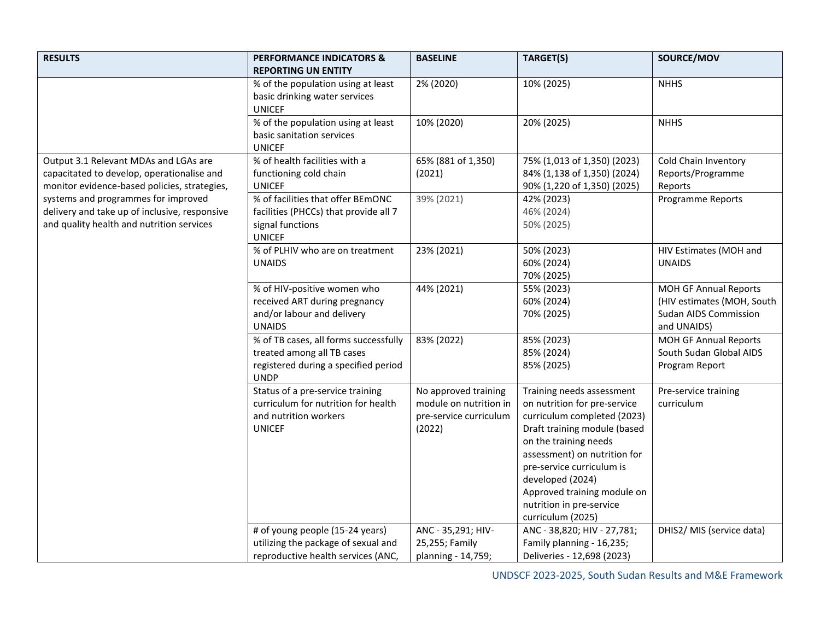| <b>RESULTS</b>                                                                                                                      | <b>PERFORMANCE INDICATORS &amp;</b><br><b>REPORTING UN ENTITY</b>                                                          | <b>BASELINE</b>                                                                    | TARGET(S)                                                                                                                                                                                                                                                                                                          | SOURCE/MOV                                                                                  |
|-------------------------------------------------------------------------------------------------------------------------------------|----------------------------------------------------------------------------------------------------------------------------|------------------------------------------------------------------------------------|--------------------------------------------------------------------------------------------------------------------------------------------------------------------------------------------------------------------------------------------------------------------------------------------------------------------|---------------------------------------------------------------------------------------------|
|                                                                                                                                     | % of the population using at least<br>basic drinking water services<br><b>UNICEF</b>                                       | 2% (2020)                                                                          | 10% (2025)                                                                                                                                                                                                                                                                                                         | <b>NHHS</b>                                                                                 |
|                                                                                                                                     | % of the population using at least<br>basic sanitation services<br><b>UNICEF</b>                                           | 10% (2020)                                                                         | 20% (2025)                                                                                                                                                                                                                                                                                                         | <b>NHHS</b>                                                                                 |
| Output 3.1 Relevant MDAs and LGAs are<br>capacitated to develop, operationalise and<br>monitor evidence-based policies, strategies, | % of health facilities with a<br>functioning cold chain<br><b>UNICEF</b>                                                   | 65% (881 of 1,350)<br>(2021)                                                       | 75% (1,013 of 1,350) (2023)<br>84% (1,138 of 1,350) (2024)<br>90% (1,220 of 1,350) (2025)                                                                                                                                                                                                                          | Cold Chain Inventory<br>Reports/Programme<br>Reports                                        |
| systems and programmes for improved<br>delivery and take up of inclusive, responsive<br>and quality health and nutrition services   | % of facilities that offer BEmONC<br>facilities (PHCCs) that provide all 7<br>signal functions<br><b>UNICEF</b>            | 39% (2021)                                                                         | 42% (2023)<br>46% (2024)<br>50% (2025)                                                                                                                                                                                                                                                                             | <b>Programme Reports</b>                                                                    |
|                                                                                                                                     | % of PLHIV who are on treatment<br><b>UNAIDS</b>                                                                           | 23% (2021)                                                                         | 50% (2023)<br>60% (2024)<br>70% (2025)                                                                                                                                                                                                                                                                             | HIV Estimates (MOH and<br><b>UNAIDS</b>                                                     |
|                                                                                                                                     | % of HIV-positive women who<br>received ART during pregnancy<br>and/or labour and delivery<br><b>UNAIDS</b>                | 44% (2021)                                                                         | 55% (2023)<br>60% (2024)<br>70% (2025)                                                                                                                                                                                                                                                                             | MOH GF Annual Reports<br>(HIV estimates (MOH, South<br>Sudan AIDS Commission<br>and UNAIDS) |
|                                                                                                                                     | % of TB cases, all forms successfully<br>treated among all TB cases<br>registered during a specified period<br><b>UNDP</b> | 83% (2022)                                                                         | 85% (2023)<br>85% (2024)<br>85% (2025)                                                                                                                                                                                                                                                                             | MOH GF Annual Reports<br>South Sudan Global AIDS<br>Program Report                          |
|                                                                                                                                     | Status of a pre-service training<br>curriculum for nutrition for health<br>and nutrition workers<br><b>UNICEF</b>          | No approved training<br>module on nutrition in<br>pre-service curriculum<br>(2022) | Training needs assessment<br>on nutrition for pre-service<br>curriculum completed (2023)<br>Draft training module (based<br>on the training needs<br>assessment) on nutrition for<br>pre-service curriculum is<br>developed (2024)<br>Approved training module on<br>nutrition in pre-service<br>curriculum (2025) | Pre-service training<br>curriculum                                                          |
|                                                                                                                                     | # of young people (15-24 years)<br>utilizing the package of sexual and<br>reproductive health services (ANC,               | ANC - 35,291; HIV-<br>25,255; Family<br>planning - 14,759;                         | ANC - 38,820; HIV - 27,781;<br>Family planning - 16,235;<br>Deliveries - 12,698 (2023)                                                                                                                                                                                                                             | DHIS2/ MIS (service data)                                                                   |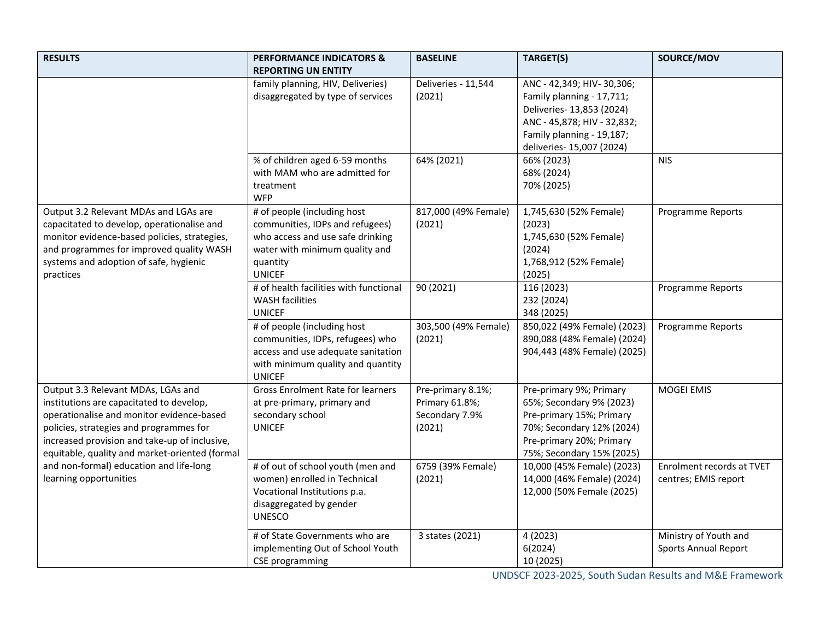| <b>RESULTS</b>                                                                                                                                                                                                                                                            | <b>PERFORMANCE INDICATORS &amp;</b><br><b>REPORTING UN ENTITY</b>                                                                                                 | <b>BASELINE</b>                                                 | TARGET(S)                                                                                                                                                                    | SOURCE/MOV                                           |
|---------------------------------------------------------------------------------------------------------------------------------------------------------------------------------------------------------------------------------------------------------------------------|-------------------------------------------------------------------------------------------------------------------------------------------------------------------|-----------------------------------------------------------------|------------------------------------------------------------------------------------------------------------------------------------------------------------------------------|------------------------------------------------------|
|                                                                                                                                                                                                                                                                           | family planning, HIV, Deliveries)<br>disaggregated by type of services                                                                                            | Deliveries - 11,544<br>(2021)                                   | ANC - 42,349; HIV-30,306;<br>Family planning - 17,711;<br>Deliveries- 13,853 (2024)<br>ANC - 45,878; HIV - 32,832;<br>Family planning - 19,187;<br>deliveries- 15,007 (2024) |                                                      |
|                                                                                                                                                                                                                                                                           | % of children aged 6-59 months<br>with MAM who are admitted for<br>treatment<br><b>WFP</b>                                                                        | 64% (2021)                                                      | 66% (2023)<br>68% (2024)<br>70% (2025)                                                                                                                                       | <b>NIS</b>                                           |
| Output 3.2 Relevant MDAs and LGAs are<br>capacitated to develop, operationalise and<br>monitor evidence-based policies, strategies,<br>and programmes for improved quality WASH<br>systems and adoption of safe, hygienic<br>practices                                    | # of people (including host<br>communities, IDPs and refugees)<br>who access and use safe drinking<br>water with minimum quality and<br>quantity<br><b>UNICEF</b> | 817,000 (49% Female)<br>(2021)                                  | 1,745,630 (52% Female)<br>(2023)<br>1,745,630 (52% Female)<br>(2024)<br>1,768,912 (52% Female)<br>(2025)                                                                     | Programme Reports                                    |
|                                                                                                                                                                                                                                                                           | # of health facilities with functional<br><b>WASH facilities</b><br><b>UNICEF</b>                                                                                 | 90 (2021)                                                       | 116 (2023)<br>232 (2024)<br>348 (2025)                                                                                                                                       | Programme Reports                                    |
|                                                                                                                                                                                                                                                                           | # of people (including host<br>communities, IDPs, refugees) who<br>access and use adequate sanitation<br>with minimum quality and quantity<br><b>UNICEF</b>       | 303,500 (49% Female)<br>(2021)                                  | 850,022 (49% Female) (2023)<br>890,088 (48% Female) (2024)<br>904,443 (48% Female) (2025)                                                                                    | Programme Reports                                    |
| Output 3.3 Relevant MDAs, LGAs and<br>institutions are capacitated to develop,<br>operationalise and monitor evidence-based<br>policies, strategies and programmes for<br>increased provision and take-up of inclusive,<br>equitable, quality and market-oriented (formal | <b>Gross Enrolment Rate for learners</b><br>at pre-primary, primary and<br>secondary school<br><b>UNICEF</b>                                                      | Pre-primary 8.1%;<br>Primary 61.8%;<br>Secondary 7.9%<br>(2021) | Pre-primary 9%; Primary<br>65%; Secondary 9% (2023)<br>Pre-primary 15%; Primary<br>70%; Secondary 12% (2024)<br>Pre-primary 20%; Primary<br>75%; Secondary 15% (2025)        | <b>MOGEI EMIS</b>                                    |
| and non-formal) education and life-long<br>learning opportunities                                                                                                                                                                                                         | # of out of school youth (men and<br>women) enrolled in Technical<br>Vocational Institutions p.a.<br>disaggregated by gender<br><b>UNESCO</b>                     | 6759 (39% Female)<br>(2021)                                     | 10,000 (45% Female) (2023)<br>14,000 (46% Female) (2024)<br>12,000 (50% Female (2025)                                                                                        | Enrolment records at TVET<br>centres; EMIS report    |
|                                                                                                                                                                                                                                                                           | # of State Governments who are<br>implementing Out of School Youth<br>CSE programming                                                                             | 3 states (2021)                                                 | 4 (2023)<br>6(2024)<br>10 (2025)                                                                                                                                             | Ministry of Youth and<br><b>Sports Annual Report</b> |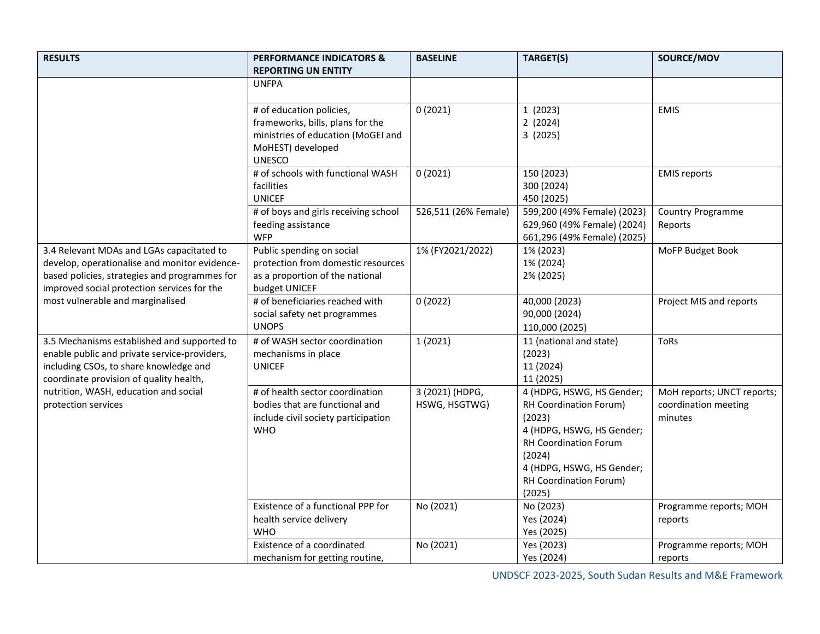| <b>RESULTS</b>                                                                                                                                                                             | <b>PERFORMANCE INDICATORS &amp;</b><br><b>REPORTING UN ENTITY</b>                                                                        | <b>BASELINE</b>                  | TARGET(S)                                                                                                                                                                                             | SOURCE/MOV                                                    |
|--------------------------------------------------------------------------------------------------------------------------------------------------------------------------------------------|------------------------------------------------------------------------------------------------------------------------------------------|----------------------------------|-------------------------------------------------------------------------------------------------------------------------------------------------------------------------------------------------------|---------------------------------------------------------------|
|                                                                                                                                                                                            | <b>UNFPA</b>                                                                                                                             |                                  |                                                                                                                                                                                                       |                                                               |
|                                                                                                                                                                                            | # of education policies,<br>frameworks, bills, plans for the<br>ministries of education (MoGEI and<br>MoHEST) developed<br><b>UNESCO</b> | 0(2021)                          | 1(2023)<br>2(2024)<br>3(2025)                                                                                                                                                                         | <b>EMIS</b>                                                   |
|                                                                                                                                                                                            | # of schools with functional WASH<br>facilities<br><b>UNICEF</b>                                                                         | 0(2021)                          | 150 (2023)<br>300 (2024)<br>450 (2025)                                                                                                                                                                | <b>EMIS reports</b>                                           |
|                                                                                                                                                                                            | # of boys and girls receiving school<br>feeding assistance<br><b>WFP</b>                                                                 | 526,511 (26% Female)             | 599,200 (49% Female) (2023)<br>629,960 (49% Female) (2024)<br>661,296 (49% Female) (2025)                                                                                                             | <b>Country Programme</b><br>Reports                           |
| 3.4 Relevant MDAs and LGAs capacitated to<br>develop, operationalise and monitor evidence-<br>based policies, strategies and programmes for<br>improved social protection services for the | Public spending on social<br>protection from domestic resources<br>as a proportion of the national<br>budget UNICEF                      | 1% (FY2021/2022)                 | 1% (2023)<br>1% (2024)<br>2% (2025)                                                                                                                                                                   | MoFP Budget Book                                              |
| most vulnerable and marginalised                                                                                                                                                           | # of beneficiaries reached with<br>social safety net programmes<br><b>UNOPS</b>                                                          | 0(2022)                          | 40,000 (2023)<br>90,000 (2024)<br>110,000 (2025)                                                                                                                                                      | Project MIS and reports                                       |
| 3.5 Mechanisms established and supported to<br>enable public and private service-providers,<br>including CSOs, to share knowledge and<br>coordinate provision of quality health,           | # of WASH sector coordination<br>mechanisms in place<br><b>UNICEF</b>                                                                    | 1(2021)                          | 11 (national and state)<br>(2023)<br>11 (2024)<br>11 (2025)                                                                                                                                           | <b>ToRs</b>                                                   |
| nutrition, WASH, education and social<br>protection services                                                                                                                               | # of health sector coordination<br>bodies that are functional and<br>include civil society participation<br><b>WHO</b>                   | 3 (2021) (HDPG,<br>HSWG, HSGTWG) | 4 (HDPG, HSWG, HS Gender;<br>RH Coordination Forum)<br>(2023)<br>4 (HDPG, HSWG, HS Gender;<br><b>RH Coordination Forum</b><br>(2024)<br>4 (HDPG, HSWG, HS Gender;<br>RH Coordination Forum)<br>(2025) | MoH reports; UNCT reports;<br>coordination meeting<br>minutes |
|                                                                                                                                                                                            | Existence of a functional PPP for<br>health service delivery<br><b>WHO</b>                                                               | No (2021)                        | No (2023)<br>Yes (2024)<br>Yes (2025)                                                                                                                                                                 | Programme reports; MOH<br>reports                             |
|                                                                                                                                                                                            | Existence of a coordinated<br>mechanism for getting routine,                                                                             | No (2021)                        | Yes (2023)<br>Yes (2024)                                                                                                                                                                              | Programme reports; MOH<br>reports                             |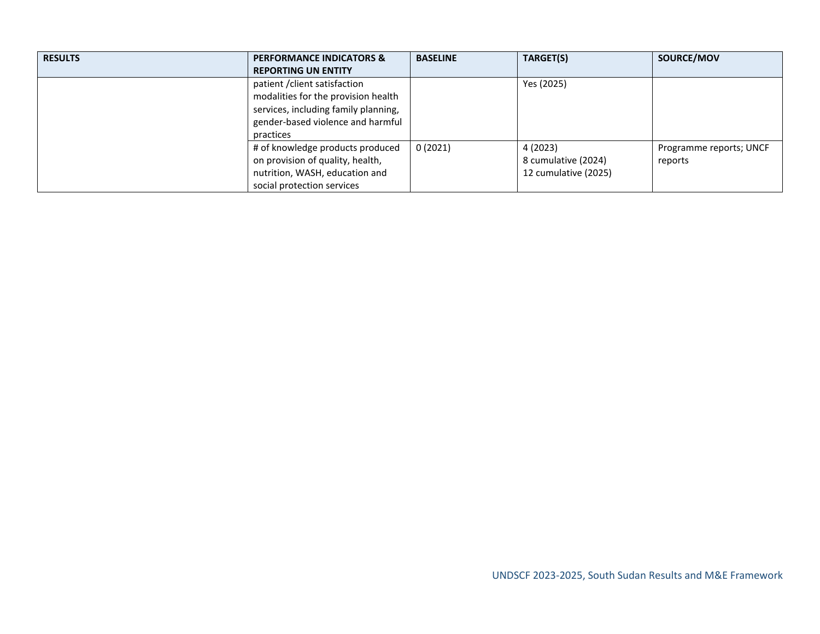| <b>RESULTS</b> | <b>PERFORMANCE INDICATORS &amp;</b><br><b>REPORTING UN ENTITY</b>                                                                                              | <b>BASELINE</b> | TARGET(S)                                               | SOURCE/MOV                         |
|----------------|----------------------------------------------------------------------------------------------------------------------------------------------------------------|-----------------|---------------------------------------------------------|------------------------------------|
|                | patient / client satisfaction<br>modalities for the provision health<br>services, including family planning,<br>gender-based violence and harmful<br>practices |                 | Yes (2025)                                              |                                    |
|                | # of knowledge products produced<br>on provision of quality, health,<br>nutrition, WASH, education and<br>social protection services                           | 0(2021)         | 4 (2023)<br>8 cumulative (2024)<br>12 cumulative (2025) | Programme reports; UNCF<br>reports |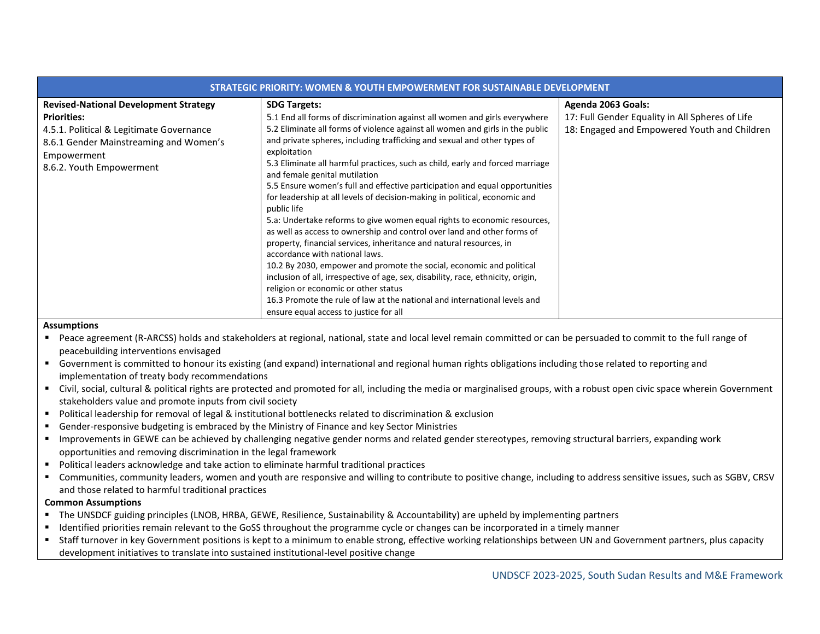| <b>STRATEGIC PRIORITY: WOMEN &amp; YOUTH EMPOWERMENT FOR SUSTAINABLE DEVELOPMENT</b>                                                                                    |                                                                                                                                                                                                                                                                                                                                                                                                                                                                                                                                                                                                                                                                                                                                                                                                                                                                                       |                                                                                                                       |  |  |  |  |
|-------------------------------------------------------------------------------------------------------------------------------------------------------------------------|---------------------------------------------------------------------------------------------------------------------------------------------------------------------------------------------------------------------------------------------------------------------------------------------------------------------------------------------------------------------------------------------------------------------------------------------------------------------------------------------------------------------------------------------------------------------------------------------------------------------------------------------------------------------------------------------------------------------------------------------------------------------------------------------------------------------------------------------------------------------------------------|-----------------------------------------------------------------------------------------------------------------------|--|--|--|--|
| <b>Revised-National Development Strategy</b><br><b>Priorities:</b><br>4.5.1. Political & Legitimate Governance<br>8.6.1 Gender Mainstreaming and Women's<br>Empowerment | <b>SDG Targets:</b><br>5.1 End all forms of discrimination against all women and girls everywhere<br>5.2 Eliminate all forms of violence against all women and girls in the public<br>and private spheres, including trafficking and sexual and other types of<br>exploitation                                                                                                                                                                                                                                                                                                                                                                                                                                                                                                                                                                                                        | Agenda 2063 Goals:<br>17: Full Gender Equality in All Spheres of Life<br>18: Engaged and Empowered Youth and Children |  |  |  |  |
| 8.6.2. Youth Empowerment                                                                                                                                                | 5.3 Eliminate all harmful practices, such as child, early and forced marriage<br>and female genital mutilation<br>5.5 Ensure women's full and effective participation and equal opportunities<br>for leadership at all levels of decision-making in political, economic and<br>public life<br>5.a: Undertake reforms to give women equal rights to economic resources,<br>as well as access to ownership and control over land and other forms of<br>property, financial services, inheritance and natural resources, in<br>accordance with national laws.<br>10.2 By 2030, empower and promote the social, economic and political<br>inclusion of all, irrespective of age, sex, disability, race, ethnicity, origin,<br>religion or economic or other status<br>16.3 Promote the rule of law at the national and international levels and<br>ensure equal access to justice for all |                                                                                                                       |  |  |  |  |

#### **Assumptions**

- Peace agreement (R-ARCSS) holds and stakeholders at regional, national, state and local level remain committed or can be persuaded to commit to the full range of peacebuilding interventions envisaged
- Government is committed to honour its existing (and expand) international and regional human rights obligations including those related to reporting and implementation of treaty body recommendations
- Civil, social, cultural & political rights are protected and promoted for all, including the media or marginalised groups, with a robust open civic space wherein Government stakeholders value and promote inputs from civil society
- Political leadership for removal of legal & institutional bottlenecks related to discrimination & exclusion
- Gender-responsive budgeting is embraced by the Ministry of Finance and key Sector Ministries
- Improvements in GEWE can be achieved by challenging negative gender norms and related gender stereotypes, removing structural barriers, expanding work opportunities and removing discrimination in the legal framework
- Political leaders acknowledge and take action to eliminate harmful traditional practices
- Communities, community leaders, women and youth are responsive and willing to contribute to positive change, including to address sensitive issues, such as SGBV, CRSV and those related to harmful traditional practices

## **Common Assumptions**

- The UNSDCF guiding principles (LNOB, HRBA, GEWE, Resilience, Sustainability & Accountability) are upheld by implementing partners
- Identified priorities remain relevant to the GoSS throughout the programme cycle or changes can be incorporated in a timely manner
- Staff turnover in key Government positions is kept to a minimum to enable strong, effective working relationships between UN and Government partners, plus capacity development initiatives to translate into sustained institutional-level positive change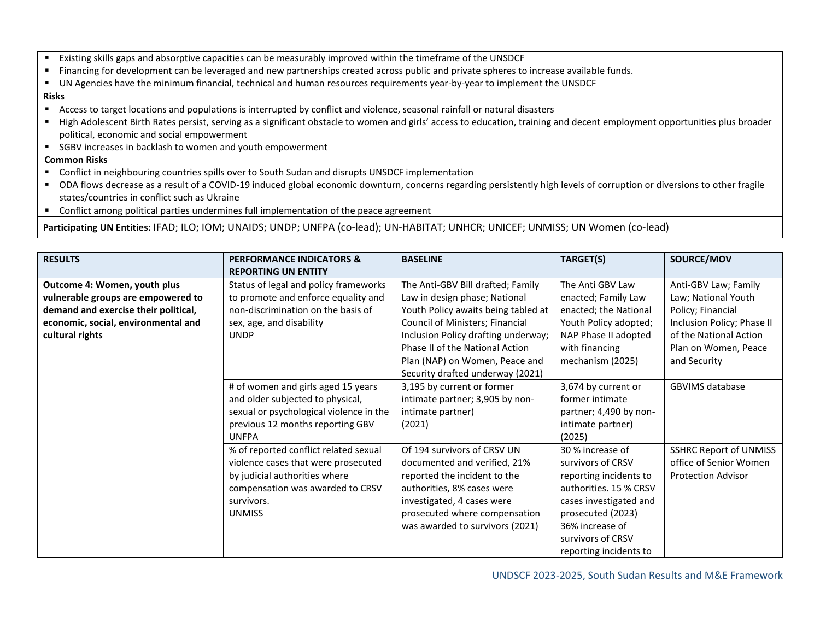- Existing skills gaps and absorptive capacities can be measurably improved within the timeframe of the UNSDCF
- Financing for development can be leveraged and new partnerships created across public and private spheres to increase available funds.
- UN Agencies have the minimum financial, technical and human resources requirements year-by-year to implement the UNSDCF

#### **Risks**

- Access to target locations and populations is interrupted by conflict and violence, seasonal rainfall or natural disasters
- High Adolescent Birth Rates persist, serving as a significant obstacle to women and girls' access to education, training and decent employment opportunities plus broader political, economic and social empowerment
- SGBV increases in backlash to women and youth empowerment

# **Common Risks**

- Conflict in neighbouring countries spills over to South Sudan and disrupts UNSDCF implementation
- ODA flows decrease as a result of a COVID-19 induced global economic downturn, concerns regarding persistently high levels of corruption or diversions to other fragile states/countries in conflict such as Ukraine
- Conflict among political parties undermines full implementation of the peace agreement

**Participating UN Entities:** IFAD; ILO; IOM; UNAIDS; UNDP; UNFPA (co-lead); UN-HABITAT; UNHCR; UNICEF; UNMISS; UN Women (co-lead)

| <b>RESULTS</b>                                                                                                                                                       | <b>PERFORMANCE INDICATORS &amp;</b>                                                                                                                           | <b>BASELINE</b>                                                                                                                                                                                                                                          | TARGET(S)                                                                                                                                               | SOURCE/MOV                                                                                                                                                       |
|----------------------------------------------------------------------------------------------------------------------------------------------------------------------|---------------------------------------------------------------------------------------------------------------------------------------------------------------|----------------------------------------------------------------------------------------------------------------------------------------------------------------------------------------------------------------------------------------------------------|---------------------------------------------------------------------------------------------------------------------------------------------------------|------------------------------------------------------------------------------------------------------------------------------------------------------------------|
|                                                                                                                                                                      | <b>REPORTING UN ENTITY</b>                                                                                                                                    |                                                                                                                                                                                                                                                          |                                                                                                                                                         |                                                                                                                                                                  |
| Outcome 4: Women, youth plus<br>vulnerable groups are empowered to<br>demand and exercise their political,<br>economic, social, environmental and<br>cultural rights | Status of legal and policy frameworks<br>to promote and enforce equality and<br>non-discrimination on the basis of<br>sex, age, and disability<br><b>UNDP</b> | The Anti-GBV Bill drafted; Family<br>Law in design phase; National<br>Youth Policy awaits being tabled at<br>Council of Ministers; Financial<br>Inclusion Policy drafting underway;<br>Phase II of the National Action<br>Plan (NAP) on Women, Peace and | The Anti GBV Law<br>enacted; Family Law<br>enacted; the National<br>Youth Policy adopted;<br>NAP Phase II adopted<br>with financing<br>mechanism (2025) | Anti-GBV Law; Family<br>Law; National Youth<br>Policy; Financial<br>Inclusion Policy; Phase II<br>of the National Action<br>Plan on Women, Peace<br>and Security |
|                                                                                                                                                                      |                                                                                                                                                               | Security drafted underway (2021)                                                                                                                                                                                                                         |                                                                                                                                                         |                                                                                                                                                                  |
|                                                                                                                                                                      | # of women and girls aged 15 years                                                                                                                            | 3,195 by current or former                                                                                                                                                                                                                               | 3,674 by current or                                                                                                                                     | <b>GBVIMS database</b>                                                                                                                                           |
|                                                                                                                                                                      | and older subjected to physical,                                                                                                                              | intimate partner; 3,905 by non-                                                                                                                                                                                                                          | former intimate                                                                                                                                         |                                                                                                                                                                  |
|                                                                                                                                                                      | sexual or psychological violence in the                                                                                                                       | intimate partner)                                                                                                                                                                                                                                        | partner; 4,490 by non-                                                                                                                                  |                                                                                                                                                                  |
|                                                                                                                                                                      | previous 12 months reporting GBV                                                                                                                              | (2021)                                                                                                                                                                                                                                                   | intimate partner)                                                                                                                                       |                                                                                                                                                                  |
|                                                                                                                                                                      | <b>UNFPA</b>                                                                                                                                                  |                                                                                                                                                                                                                                                          | (2025)                                                                                                                                                  |                                                                                                                                                                  |
|                                                                                                                                                                      | % of reported conflict related sexual                                                                                                                         | Of 194 survivors of CRSV UN                                                                                                                                                                                                                              | 30 % increase of                                                                                                                                        | <b>SSHRC Report of UNMISS</b>                                                                                                                                    |
|                                                                                                                                                                      | violence cases that were prosecuted                                                                                                                           | documented and verified, 21%                                                                                                                                                                                                                             | survivors of CRSV                                                                                                                                       | office of Senior Women                                                                                                                                           |
|                                                                                                                                                                      | by judicial authorities where                                                                                                                                 | reported the incident to the                                                                                                                                                                                                                             | reporting incidents to                                                                                                                                  | <b>Protection Advisor</b>                                                                                                                                        |
|                                                                                                                                                                      | compensation was awarded to CRSV                                                                                                                              | authorities, 8% cases were                                                                                                                                                                                                                               | authorities. 15 % CRSV                                                                                                                                  |                                                                                                                                                                  |
|                                                                                                                                                                      | survivors.                                                                                                                                                    | investigated, 4 cases were                                                                                                                                                                                                                               | cases investigated and                                                                                                                                  |                                                                                                                                                                  |
|                                                                                                                                                                      | <b>UNMISS</b>                                                                                                                                                 | prosecuted where compensation                                                                                                                                                                                                                            | prosecuted (2023)                                                                                                                                       |                                                                                                                                                                  |
|                                                                                                                                                                      |                                                                                                                                                               | was awarded to survivors (2021)                                                                                                                                                                                                                          | 36% increase of                                                                                                                                         |                                                                                                                                                                  |
|                                                                                                                                                                      |                                                                                                                                                               |                                                                                                                                                                                                                                                          | survivors of CRSV                                                                                                                                       |                                                                                                                                                                  |
|                                                                                                                                                                      |                                                                                                                                                               |                                                                                                                                                                                                                                                          | reporting incidents to                                                                                                                                  |                                                                                                                                                                  |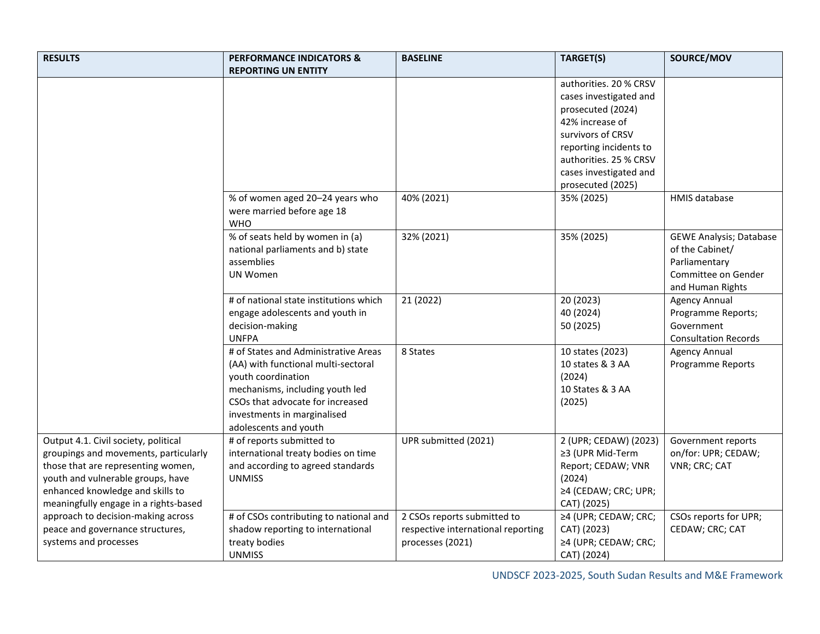| <b>RESULTS</b>                        | <b>PERFORMANCE INDICATORS &amp;</b>                                 | <b>BASELINE</b>                    | TARGET(S)              | SOURCE/MOV                     |
|---------------------------------------|---------------------------------------------------------------------|------------------------------------|------------------------|--------------------------------|
|                                       | <b>REPORTING UN ENTITY</b>                                          |                                    |                        |                                |
|                                       |                                                                     |                                    | authorities. 20 % CRSV |                                |
|                                       |                                                                     |                                    | cases investigated and |                                |
|                                       |                                                                     |                                    | prosecuted (2024)      |                                |
|                                       |                                                                     |                                    | 42% increase of        |                                |
|                                       |                                                                     |                                    | survivors of CRSV      |                                |
|                                       |                                                                     |                                    | reporting incidents to |                                |
|                                       |                                                                     |                                    | authorities. 25 % CRSV |                                |
|                                       |                                                                     |                                    | cases investigated and |                                |
|                                       |                                                                     |                                    | prosecuted (2025)      |                                |
|                                       | % of women aged 20-24 years who                                     | 40% (2021)                         | 35% (2025)             | <b>HMIS database</b>           |
|                                       | were married before age 18<br><b>WHO</b>                            |                                    |                        |                                |
|                                       | % of seats held by women in (a)                                     | 32% (2021)                         | 35% (2025)             | <b>GEWE Analysis; Database</b> |
|                                       | national parliaments and b) state                                   |                                    |                        | of the Cabinet/                |
|                                       | assemblies                                                          |                                    |                        | Parliamentary                  |
|                                       | <b>UN Women</b>                                                     |                                    |                        | Committee on Gender            |
|                                       |                                                                     |                                    |                        | and Human Rights               |
|                                       | # of national state institutions which                              | 21 (2022)                          | 20 (2023)              | <b>Agency Annual</b>           |
|                                       | engage adolescents and youth in                                     |                                    | 40 (2024)              | Programme Reports;             |
|                                       | decision-making                                                     |                                    | 50 (2025)              | Government                     |
|                                       | <b>UNFPA</b>                                                        |                                    |                        | <b>Consultation Records</b>    |
|                                       | # of States and Administrative Areas                                | 8 States                           | 10 states (2023)       | <b>Agency Annual</b>           |
|                                       | (AA) with functional multi-sectoral                                 |                                    | 10 states & 3 AA       | Programme Reports              |
|                                       | youth coordination                                                  |                                    | (2024)                 |                                |
|                                       | mechanisms, including youth led<br>CSOs that advocate for increased |                                    | 10 States & 3 AA       |                                |
|                                       |                                                                     |                                    | (2025)                 |                                |
|                                       | investments in marginalised<br>adolescents and youth                |                                    |                        |                                |
| Output 4.1. Civil society, political  | # of reports submitted to                                           | UPR submitted (2021)               | 2 (UPR; CEDAW) (2023)  | Government reports             |
| groupings and movements, particularly | international treaty bodies on time                                 |                                    | ≥3 (UPR Mid-Term       | on/for: UPR; CEDAW;            |
| those that are representing women,    | and according to agreed standards                                   |                                    | Report; CEDAW; VNR     | VNR; CRC; CAT                  |
| youth and vulnerable groups, have     | <b>UNMISS</b>                                                       |                                    | (2024)                 |                                |
| enhanced knowledge and skills to      |                                                                     |                                    | ≥4 (CEDAW; CRC; UPR;   |                                |
| meaningfully engage in a rights-based |                                                                     |                                    | CAT) (2025)            |                                |
| approach to decision-making across    | # of CSOs contributing to national and                              | 2 CSOs reports submitted to        | ≥4 (UPR; CEDAW; CRC;   | CSOs reports for UPR;          |
| peace and governance structures,      | shadow reporting to international                                   | respective international reporting | CAT) (2023)            | CEDAW; CRC; CAT                |
| systems and processes                 | treaty bodies                                                       | processes (2021)                   | ≥4 (UPR; CEDAW; CRC;   |                                |
|                                       | <b>UNMISS</b>                                                       |                                    | CAT) (2024)            |                                |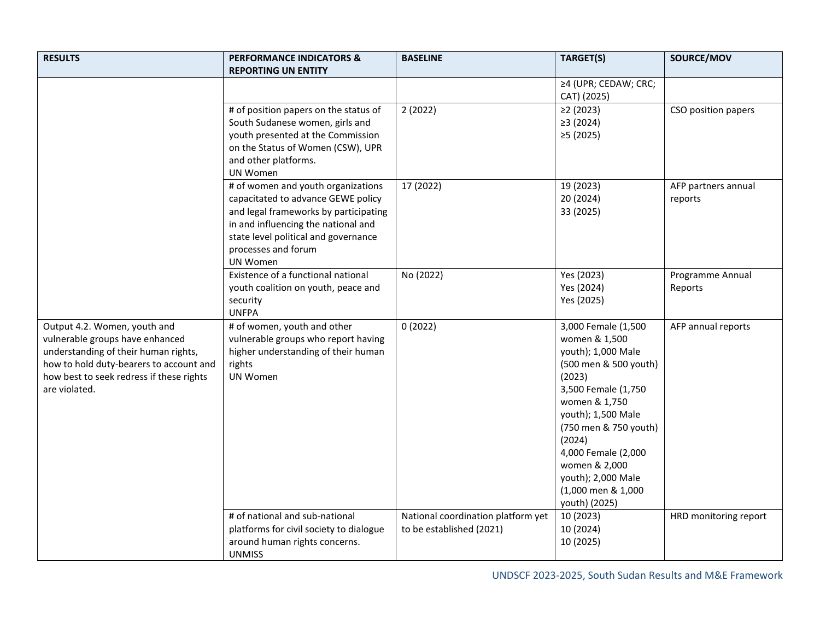| <b>RESULTS</b>                                                                                                                                                                                                  | <b>PERFORMANCE INDICATORS &amp;</b><br><b>REPORTING UN ENTITY</b>                                                                                                                                                                          | <b>BASELINE</b>                                                | TARGET(S)                                                                                                                                                                                                                                                                                           | SOURCE/MOV                     |
|-----------------------------------------------------------------------------------------------------------------------------------------------------------------------------------------------------------------|--------------------------------------------------------------------------------------------------------------------------------------------------------------------------------------------------------------------------------------------|----------------------------------------------------------------|-----------------------------------------------------------------------------------------------------------------------------------------------------------------------------------------------------------------------------------------------------------------------------------------------------|--------------------------------|
|                                                                                                                                                                                                                 |                                                                                                                                                                                                                                            |                                                                | ≥4 (UPR; CEDAW; CRC;<br>CAT) (2025)                                                                                                                                                                                                                                                                 |                                |
|                                                                                                                                                                                                                 | # of position papers on the status of<br>South Sudanese women, girls and<br>youth presented at the Commission<br>on the Status of Women (CSW), UPR<br>and other platforms.<br>UN Women                                                     | 2(2022)                                                        | $\geq$ 2 (2023)<br>≥3(2024)<br>≥5(2025)                                                                                                                                                                                                                                                             | CSO position papers            |
|                                                                                                                                                                                                                 | # of women and youth organizations<br>capacitated to advance GEWE policy<br>and legal frameworks by participating<br>in and influencing the national and<br>state level political and governance<br>processes and forum<br><b>UN Women</b> | 17 (2022)                                                      | 19 (2023)<br>20 (2024)<br>33 (2025)                                                                                                                                                                                                                                                                 | AFP partners annual<br>reports |
|                                                                                                                                                                                                                 | Existence of a functional national<br>youth coalition on youth, peace and<br>security<br><b>UNFPA</b>                                                                                                                                      | No (2022)                                                      | Yes (2023)<br>Yes (2024)<br>Yes (2025)                                                                                                                                                                                                                                                              | Programme Annual<br>Reports    |
| Output 4.2. Women, youth and<br>vulnerable groups have enhanced<br>understanding of their human rights,<br>how to hold duty-bearers to account and<br>how best to seek redress if these rights<br>are violated. | # of women, youth and other<br>vulnerable groups who report having<br>higher understanding of their human<br>rights<br><b>UN Women</b>                                                                                                     | 0(2022)                                                        | 3,000 Female (1,500<br>women & 1,500<br>youth); 1,000 Male<br>(500 men & 500 youth)<br>(2023)<br>3,500 Female (1,750<br>women & 1,750<br>youth); 1,500 Male<br>(750 men & 750 youth)<br>(2024)<br>4,000 Female (2,000<br>women & 2,000<br>youth); 2,000 Male<br>(1,000 men & 1,000<br>youth) (2025) | AFP annual reports             |
|                                                                                                                                                                                                                 | # of national and sub-national<br>platforms for civil society to dialogue<br>around human rights concerns.<br><b>UNMISS</b>                                                                                                                | National coordination platform yet<br>to be established (2021) | 10 (2023)<br>10 (2024)<br>10 (2025)                                                                                                                                                                                                                                                                 | HRD monitoring report          |